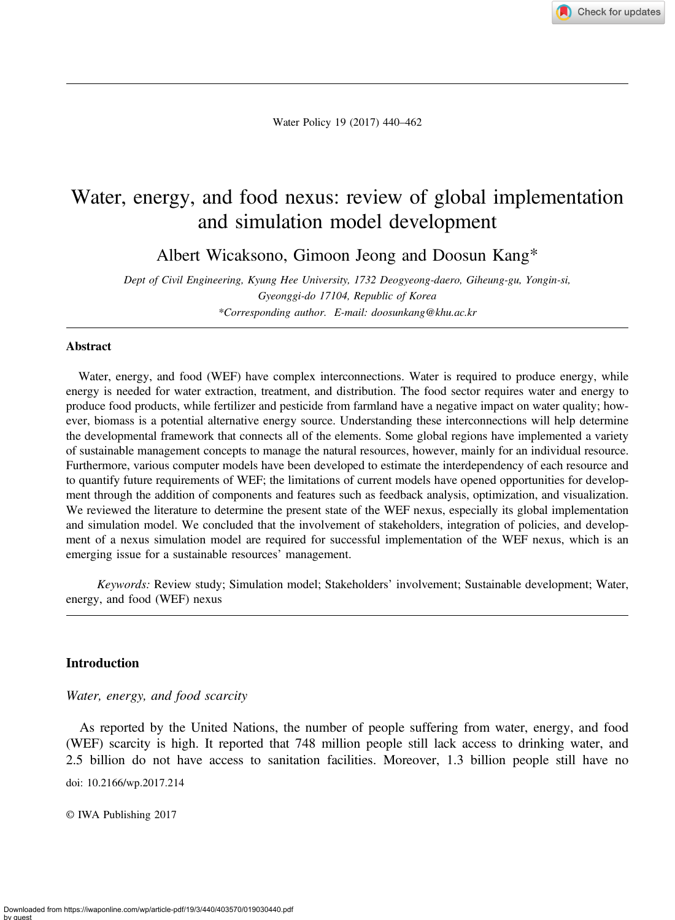Check for updates

Water Policy 19 (2017) 440–462

# Water, energy, and food nexus: review of global implementation and simulation model development

Albert Wicaksono, Gimoon Jeong and Doosun Kang\*

Dept of Civil Engineering, Kyung Hee University, 1732 Deogyeong-daero, Giheung-gu, Yongin-si, Gyeonggi-do 17104, Republic of Korea \*Corresponding author. E-mail: [doosunkang@khu.ac.kr](mailto:doosunkang@khu.ac.kr)

#### Abstract

Water, energy, and food (WEF) have complex interconnections. Water is required to produce energy, while energy is needed for water extraction, treatment, and distribution. The food sector requires water and energy to produce food products, while fertilizer and pesticide from farmland have a negative impact on water quality; however, biomass is a potential alternative energy source. Understanding these interconnections will help determine the developmental framework that connects all of the elements. Some global regions have implemented a variety of sustainable management concepts to manage the natural resources, however, mainly for an individual resource. Furthermore, various computer models have been developed to estimate the interdependency of each resource and to quantify future requirements of WEF; the limitations of current models have opened opportunities for development through the addition of components and features such as feedback analysis, optimization, and visualization. We reviewed the literature to determine the present state of the WEF nexus, especially its global implementation and simulation model. We concluded that the involvement of stakeholders, integration of policies, and development of a nexus simulation model are required for successful implementation of the WEF nexus, which is an emerging issue for a sustainable resources' management.

Keywords: Review study; Simulation model; Stakeholders' involvement; Sustainable development; Water, energy, and food (WEF) nexus

## Introduction

Water, energy, and food scarcity

As reported by the United Nations, the number of people suffering from water, energy, and food (WEF) scarcity is high. It reported that 748 million people still lack access to drinking water, and 2.5 billion do not have access to sanitation facilities. Moreover, 1.3 billion people still have no

doi: 10.2166/wp.2017.214

© IWA Publishing 2017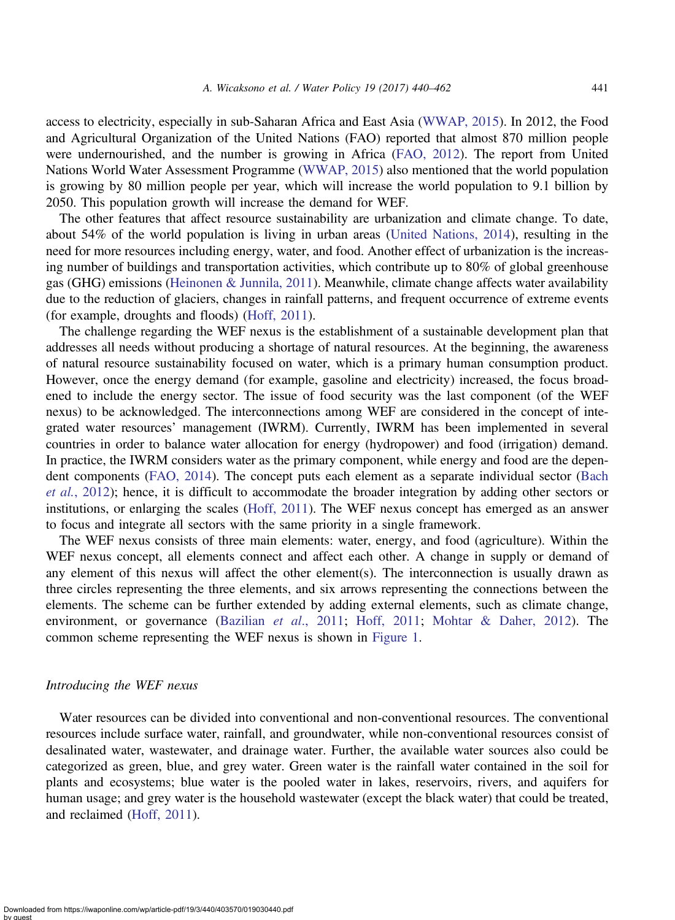access to electricity, especially in sub-Saharan Africa and East Asia ([WWAP, 2015\)](#page-22-0). In 2012, the Food and Agricultural Organization of the United Nations (FAO) reported that almost 870 million people were undernourished, and the number is growing in Africa ([FAO, 2012](#page-20-0)). The report from United Nations World Water Assessment Programme [\(WWAP, 2015\)](#page-22-0) also mentioned that the world population is growing by 80 million people per year, which will increase the world population to 9.1 billion by 2050. This population growth will increase the demand for WEF.

The other features that affect resource sustainability are urbanization and climate change. To date, about 54% of the world population is living in urban areas [\(United Nations, 2014\)](#page-21-0), resulting in the need for more resources including energy, water, and food. Another effect of urbanization is the increasing number of buildings and transportation activities, which contribute up to 80% of global greenhouse gas (GHG) emissions [\(Heinonen & Junnila, 2011\)](#page-20-0). Meanwhile, climate change affects water availability due to the reduction of glaciers, changes in rainfall patterns, and frequent occurrence of extreme events (for example, droughts and floods) ([Hoff, 2011](#page-20-0)).

The challenge regarding the WEF nexus is the establishment of a sustainable development plan that addresses all needs without producing a shortage of natural resources. At the beginning, the awareness of natural resource sustainability focused on water, which is a primary human consumption product. However, once the energy demand (for example, gasoline and electricity) increased, the focus broadened to include the energy sector. The issue of food security was the last component (of the WEF nexus) to be acknowledged. The interconnections among WEF are considered in the concept of integrated water resources' management (IWRM). Currently, IWRM has been implemented in several countries in order to balance water allocation for energy (hydropower) and food (irrigation) demand. In practice, the IWRM considers water as the primary component, while energy and food are the dependent components [\(FAO, 2014\)](#page-20-0). The concept puts each element as a separate individual sector ([Bach](#page-19-0) et al.[, 2012\)](#page-19-0); hence, it is difficult to accommodate the broader integration by adding other sectors or institutions, or enlarging the scales ([Hoff, 2011\)](#page-20-0). The WEF nexus concept has emerged as an answer to focus and integrate all sectors with the same priority in a single framework.

The WEF nexus consists of three main elements: water, energy, and food (agriculture). Within the WEF nexus concept, all elements connect and affect each other. A change in supply or demand of any element of this nexus will affect the other element(s). The interconnection is usually drawn as three circles representing the three elements, and six arrows representing the connections between the elements. The scheme can be further extended by adding external elements, such as climate change, environment, or governance ([Bazilian](#page-19-0) *et al.*, 2011; [Hoff, 2011](#page-20-0); [Mohtar & Daher, 2012](#page-21-0)). The common scheme representing the WEF nexus is shown in [Figure 1.](#page-2-0)

## Introducing the WEF nexus

Water resources can be divided into conventional and non-conventional resources. The conventional resources include surface water, rainfall, and groundwater, while non-conventional resources consist of desalinated water, wastewater, and drainage water. Further, the available water sources also could be categorized as green, blue, and grey water. Green water is the rainfall water contained in the soil for plants and ecosystems; blue water is the pooled water in lakes, reservoirs, rivers, and aquifers for human usage; and grey water is the household wastewater (except the black water) that could be treated, and reclaimed [\(Hoff, 2011](#page-20-0)).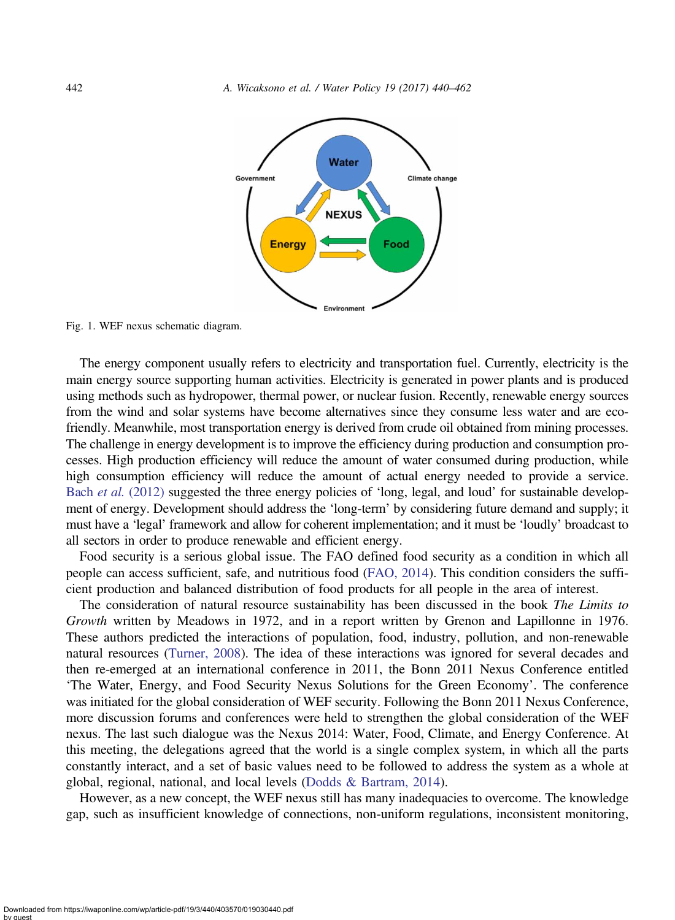<span id="page-2-0"></span>

Fig. 1. WEF nexus schematic diagram.

The energy component usually refers to electricity and transportation fuel. Currently, electricity is the main energy source supporting human activities. Electricity is generated in power plants and is produced using methods such as hydropower, thermal power, or nuclear fusion. Recently, renewable energy sources from the wind and solar systems have become alternatives since they consume less water and are ecofriendly. Meanwhile, most transportation energy is derived from crude oil obtained from mining processes. The challenge in energy development is to improve the efficiency during production and consumption processes. High production efficiency will reduce the amount of water consumed during production, while high consumption efficiency will reduce the amount of actual energy needed to provide a service. Bach *et al.* [\(2012\)](#page-19-0) suggested the three energy policies of 'long, legal, and loud' for sustainable development of energy. Development should address the 'long-term' by considering future demand and supply; it must have a 'legal' framework and allow for coherent implementation; and it must be 'loudly' broadcast to all sectors in order to produce renewable and efficient energy.

Food security is a serious global issue. The FAO defined food security as a condition in which all people can access sufficient, safe, and nutritious food [\(FAO, 2014](#page-20-0)). This condition considers the sufficient production and balanced distribution of food products for all people in the area of interest.

The consideration of natural resource sustainability has been discussed in the book The Limits to Growth written by Meadows in 1972, and in a report written by Grenon and Lapillonne in 1976. These authors predicted the interactions of population, food, industry, pollution, and non-renewable natural resources ([Turner, 2008](#page-21-0)). The idea of these interactions was ignored for several decades and then re-emerged at an international conference in 2011, the Bonn 2011 Nexus Conference entitled 'The Water, Energy, and Food Security Nexus Solutions for the Green Economy'. The conference was initiated for the global consideration of WEF security. Following the Bonn 2011 Nexus Conference, more discussion forums and conferences were held to strengthen the global consideration of the WEF nexus. The last such dialogue was the Nexus 2014: Water, Food, Climate, and Energy Conference. At this meeting, the delegations agreed that the world is a single complex system, in which all the parts constantly interact, and a set of basic values need to be followed to address the system as a whole at global, regional, national, and local levels ([Dodds & Bartram, 2014](#page-20-0)).

However, as a new concept, the WEF nexus still has many inadequacies to overcome. The knowledge gap, such as insufficient knowledge of connections, non-uniform regulations, inconsistent monitoring,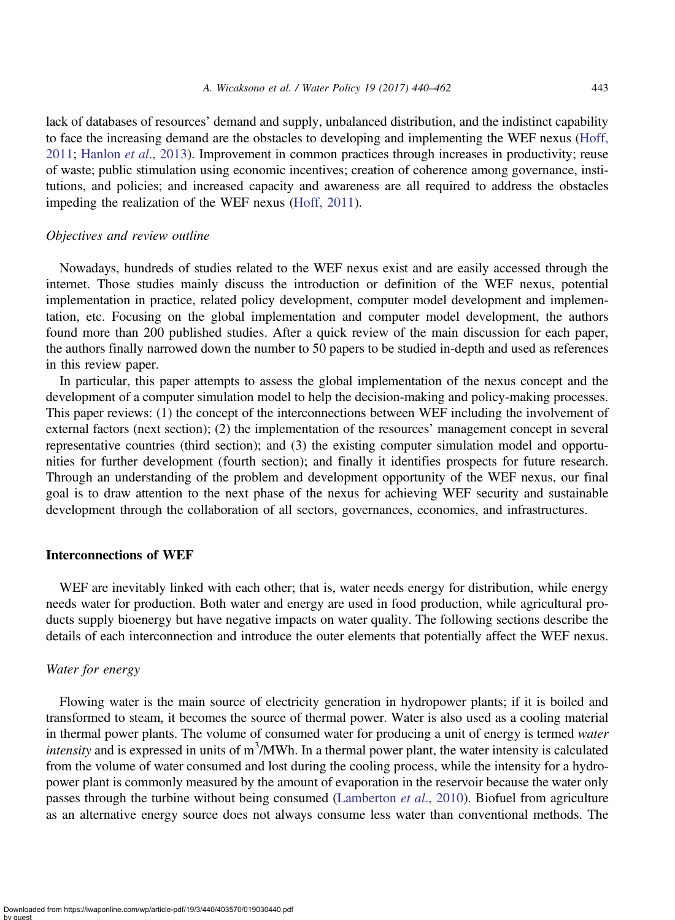lack of databases of resources' demand and supply, unbalanced distribution, and the indistinct capability to face the increasing demand are the obstacles to developing and implementing the WEF nexus ([Hoff,](#page-20-0) [2011](#page-20-0); [Hanlon](#page-20-0) et al., 2013). Improvement in common practices through increases in productivity; reuse of waste; public stimulation using economic incentives; creation of coherence among governance, institutions, and policies; and increased capacity and awareness are all required to address the obstacles impeding the realization of the WEF nexus [\(Hoff, 2011\)](#page-20-0).

## Objectives and review outline

Nowadays, hundreds of studies related to the WEF nexus exist and are easily accessed through the internet. Those studies mainly discuss the introduction or definition of the WEF nexus, potential implementation in practice, related policy development, computer model development and implementation, etc. Focusing on the global implementation and computer model development, the authors found more than 200 published studies. After a quick review of the main discussion for each paper, the authors finally narrowed down the number to 50 papers to be studied in-depth and used as references in this review paper.

In particular, this paper attempts to assess the global implementation of the nexus concept and the development of a computer simulation model to help the decision-making and policy-making processes. This paper reviews: (1) the concept of the interconnections between WEF including the involvement of external factors (next section); (2) the implementation of the resources' management concept in several representative countries (third section); and (3) the existing computer simulation model and opportunities for further development (fourth section); and finally it identifies prospects for future research. Through an understanding of the problem and development opportunity of the WEF nexus, our final goal is to draw attention to the next phase of the nexus for achieving WEF security and sustainable development through the collaboration of all sectors, governances, economies, and infrastructures.

#### Interconnections of WEF

WEF are inevitably linked with each other; that is, water needs energy for distribution, while energy needs water for production. Both water and energy are used in food production, while agricultural products supply bioenergy but have negative impacts on water quality. The following sections describe the details of each interconnection and introduce the outer elements that potentially affect the WEF nexus.

## Water for energy

Flowing water is the main source of electricity generation in hydropower plants; if it is boiled and transformed to steam, it becomes the source of thermal power. Water is also used as a cooling material in thermal power plants. The volume of consumed water for producing a unit of energy is termed water intensity and is expressed in units of  $m<sup>3</sup>/MWh$ . In a thermal power plant, the water intensity is calculated from the volume of water consumed and lost during the cooling process, while the intensity for a hydropower plant is commonly measured by the amount of evaporation in the reservoir because the water only passes through the turbine without being consumed [\(Lamberton](#page-21-0) *et al.*, 2010). Biofuel from agriculture as an alternative energy source does not always consume less water than conventional methods. The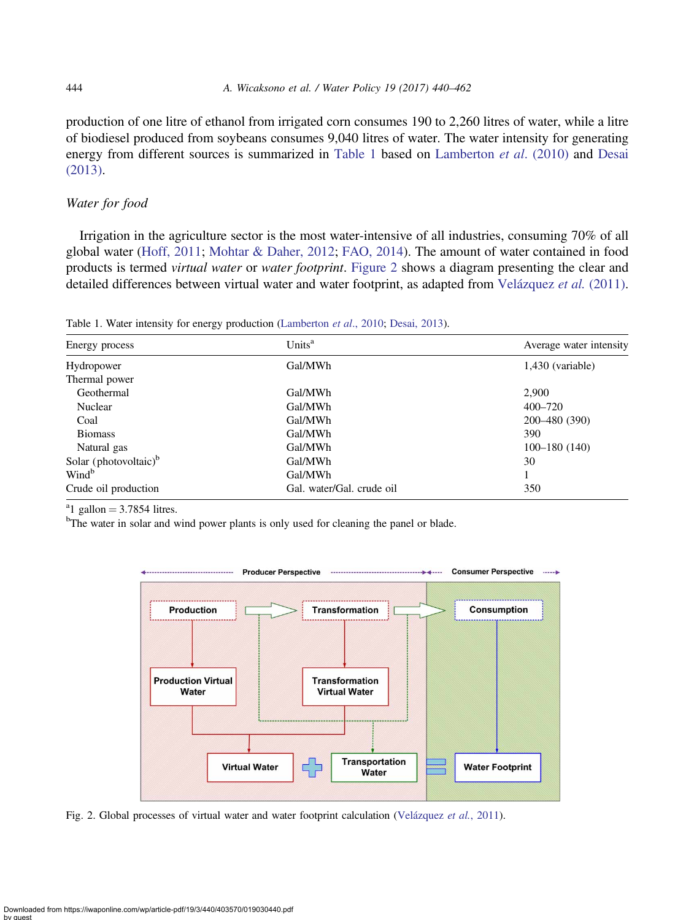production of one litre of ethanol from irrigated corn consumes 190 to 2,260 litres of water, while a litre of biodiesel produced from soybeans consumes 9,040 litres of water. The water intensity for generating energy from different sources is summarized in Table 1 based on [Lamberton](#page-21-0) et al. (2010) and [Desai](#page-20-0) [\(2013\)](#page-20-0).

## Water for food

Irrigation in the agriculture sector is the most water-intensive of all industries, consuming 70% of all global water [\(Hoff, 2011;](#page-20-0) [Mohtar & Daher, 2012](#page-21-0); [FAO, 2014\)](#page-20-0). The amount of water contained in food products is termed virtual water or water footprint. Figure 2 shows a diagram presenting the clear and detailed differences between virtual water and water footprint, as adapted from [Velázquez](#page-21-0) et al. (2011).

Table 1. Water intensity for energy production [\(Lamberton](#page-21-0) et al., 2010; [Desai, 2013\)](#page-20-0).

| Units <sup>a</sup><br>Energy process |                           | Average water intensity |  |
|--------------------------------------|---------------------------|-------------------------|--|
| Hydropower                           | Gal/MWh                   | $1,430$ (variable)      |  |
| Thermal power                        |                           |                         |  |
| Geothermal                           | Gal/MWh                   | 2,900                   |  |
| Nuclear                              | Gal/MWh                   | 400-720                 |  |
| Coal                                 | Gal/MWh                   | 200-480 (390)           |  |
| <b>Biomass</b>                       | Gal/MWh                   | 390                     |  |
| Natural gas                          | Gal/MWh                   | $100 - 180(140)$        |  |
| Solar (photovoltaic) $b$             | Gal/MWh                   | 30                      |  |
| Wind <sup>b</sup>                    | Gal/MWh                   |                         |  |
| Crude oil production                 | Gal. water/Gal. crude oil | 350                     |  |

<sup>a</sup>l gallon = 3.7854 litres.

<sup>b</sup>The water in solar and wind power plants is only used for cleaning the panel or blade.



Fig. 2. Global processes of virtual water and water footprint calculation ([Velázquez](#page-21-0) et al., 2011).

<span id="page-4-0"></span>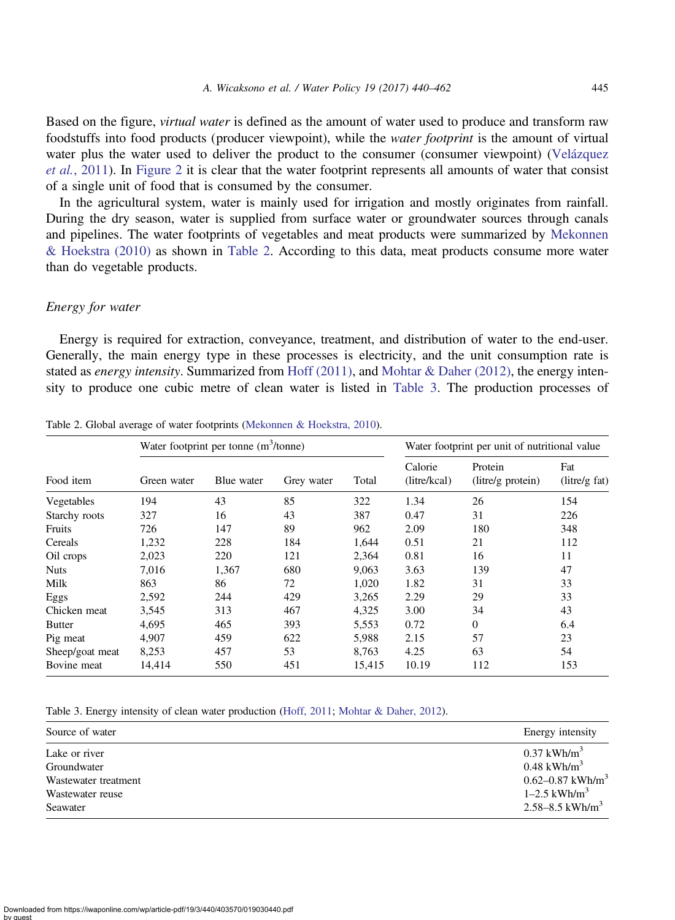Based on the figure, virtual water is defined as the amount of water used to produce and transform raw foodstuffs into food products (producer viewpoint), while the water footprint is the amount of virtual water plus the water used to deliver the product to the consumer (consumer viewpoint) [\(Velázquez](#page-21-0) et al.[, 2011\)](#page-21-0). In [Figure 2](#page-4-0) it is clear that the water footprint represents all amounts of water that consist of a single unit of food that is consumed by the consumer.

In the agricultural system, water is mainly used for irrigation and mostly originates from rainfall. During the dry season, water is supplied from surface water or groundwater sources through canals and pipelines. The water footprints of vegetables and meat products were summarized by [Mekonnen](#page-21-0) [& Hoekstra \(2010\)](#page-21-0) as shown in Table 2. According to this data, meat products consume more water than do vegetable products.

#### Energy for water

Energy is required for extraction, conveyance, treatment, and distribution of water to the end-user. Generally, the main energy type in these processes is electricity, and the unit consumption rate is stated as energy intensity. Summarized from [Hoff \(2011\)](#page-20-0), and [Mohtar & Daher \(2012\)](#page-21-0), the energy intensity to produce one cubic metre of clean water is listed in Table 3. The production processes of

|                 | Water footprint per tonne $(m^3/tonne)$ |            |            |        | Water footprint per unit of nutritional value |                              |                      |
|-----------------|-----------------------------------------|------------|------------|--------|-----------------------------------------------|------------------------------|----------------------|
| Food item       | Green water                             | Blue water | Grey water | Total  | Calorie<br>(litre/kcal)                       | Protein<br>(litre/g protein) | Fat<br>(litre/g fat) |
| Vegetables      | 194                                     | 43         | 85         | 322    | 1.34                                          | 26                           | 154                  |
| Starchy roots   | 327                                     | 16         | 43         | 387    | 0.47                                          | 31                           | 226                  |
| Fruits          | 726                                     | 147        | 89         | 962    | 2.09                                          | 180                          | 348                  |
| Cereals         | 1,232                                   | 228        | 184        | 1,644  | 0.51                                          | 21                           | 112                  |
| Oil crops       | 2,023                                   | 220        | 121        | 2,364  | 0.81                                          | 16                           | 11                   |
| <b>Nuts</b>     | 7.016                                   | 1,367      | 680        | 9,063  | 3.63                                          | 139                          | 47                   |
| Milk            | 863                                     | 86         | 72         | 1,020  | 1.82                                          | 31                           | 33                   |
| Eggs            | 2,592                                   | 244        | 429        | 3,265  | 2.29                                          | 29                           | 33                   |
| Chicken meat    | 3,545                                   | 313        | 467        | 4,325  | 3.00                                          | 34                           | 43                   |
| <b>Butter</b>   | 4,695                                   | 465        | 393        | 5,553  | 0.72                                          | $\Omega$                     | 6.4                  |
| Pig meat        | 4.907                                   | 459        | 622        | 5,988  | 2.15                                          | 57                           | 23                   |
| Sheep/goat meat | 8,253                                   | 457        | 53         | 8,763  | 4.25                                          | 63                           | 54                   |
| Bovine meat     | 14,414                                  | 550        | 451        | 15,415 | 10.19                                         | 112                          | 153                  |

Table 2. Global average of water footprints [\(Mekonnen & Hoekstra, 2010](#page-21-0)).

Table 3. Energy intensity of clean water production [\(Hoff, 2011](#page-20-0); [Mohtar & Daher, 2012](#page-21-0)).

| Source of water      | Energy intensity             |
|----------------------|------------------------------|
| Lake or river        | $0.37$ kWh/m <sup>3</sup>    |
| Groundwater          | $0.48$ kWh/m <sup>3</sup>    |
| Wastewater treatment | 0.62–0.87 kWh/m <sup>3</sup> |
| Wastewater reuse     | $1 - 2.5$ kWh/m <sup>3</sup> |
| Seawater             | 2.58–8.5 kWh/m <sup>3</sup>  |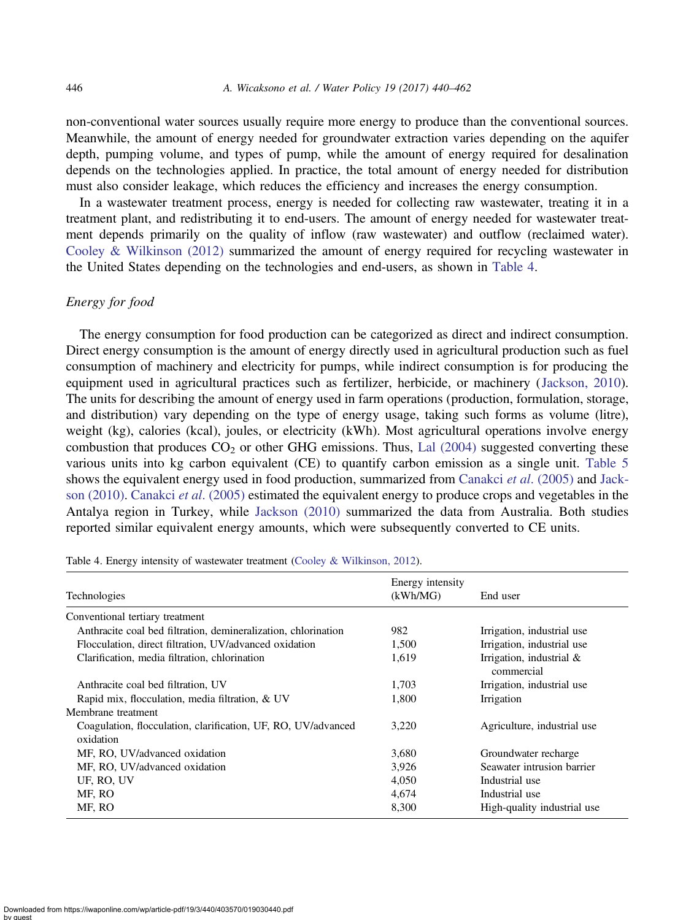non-conventional water sources usually require more energy to produce than the conventional sources. Meanwhile, the amount of energy needed for groundwater extraction varies depending on the aquifer depth, pumping volume, and types of pump, while the amount of energy required for desalination depends on the technologies applied. In practice, the total amount of energy needed for distribution must also consider leakage, which reduces the efficiency and increases the energy consumption.

In a wastewater treatment process, energy is needed for collecting raw wastewater, treating it in a treatment plant, and redistributing it to end-users. The amount of energy needed for wastewater treatment depends primarily on the quality of inflow (raw wastewater) and outflow (reclaimed water). [Cooley & Wilkinson \(2012\)](#page-20-0) summarized the amount of energy required for recycling wastewater in the United States depending on the technologies and end-users, as shown in Table 4.

## Energy for food

The energy consumption for food production can be categorized as direct and indirect consumption. Direct energy consumption is the amount of energy directly used in agricultural production such as fuel consumption of machinery and electricity for pumps, while indirect consumption is for producing the equipment used in agricultural practices such as fertilizer, herbicide, or machinery ([Jackson, 2010\)](#page-21-0). The units for describing the amount of energy used in farm operations (production, formulation, storage, and distribution) vary depending on the type of energy usage, taking such forms as volume (litre), weight (kg), calories (kcal), joules, or electricity (kWh). Most agricultural operations involve energy combustion that produces  $CO<sub>2</sub>$  or other GHG emissions. Thus, [Lal \(2004\)](#page-21-0) suggested converting these various units into kg carbon equivalent (CE) to quantify carbon emission as a single unit. [Table 5](#page-7-0) shows the equivalent energy used in food production, summarized from [Canakci](#page-20-0) *et al.* (2005) and [Jack](#page-21-0)[son \(2010\)](#page-21-0). [Canakci](#page-20-0) et al. (2005) estimated the equivalent energy to produce crops and vegetables in the Antalya region in Turkey, while [Jackson \(2010\)](#page-21-0) summarized the data from Australia. Both studies reported similar equivalent energy amounts, which were subsequently converted to CE units.

| Technologies                                                               | Energy intensity<br>(kWh/MG) | End user                                 |
|----------------------------------------------------------------------------|------------------------------|------------------------------------------|
| Conventional tertiary treatment                                            |                              |                                          |
| Anthracite coal bed filtration, demineralization, chlorination             | 982                          | Irrigation, industrial use               |
| Flocculation, direct filtration, UV/advanced oxidation                     | 1,500                        | Irrigation, industrial use               |
| Clarification, media filtration, chlorination                              | 1,619                        | Irrigation, industrial $&$<br>commercial |
| Anthracite coal bed filtration, UV                                         | 1.703                        | Irrigation, industrial use               |
| Rapid mix, flocculation, media filtration, & UV                            | 1.800                        | Irrigation                               |
| Membrane treatment                                                         |                              |                                          |
| Coagulation, flocculation, clarification, UF, RO, UV/advanced<br>oxidation | 3.220                        | Agriculture, industrial use              |
| MF, RO, UV/advanced oxidation                                              | 3,680                        | Groundwater recharge                     |
| MF, RO, UV/advanced oxidation                                              | 3,926                        | Seawater intrusion barrier               |
| UF, RO, UV                                                                 | 4.050                        | Industrial use                           |
| MF. RO                                                                     | 4.674                        | Industrial use                           |
| MF, RO                                                                     | 8,300                        | High-quality industrial use              |

Table 4. Energy intensity of wastewater treatment ([Cooley & Wilkinson, 2012\)](#page-20-0).

Downloaded from https://iwaponline.com/wp/article-pdf/19/3/440/403570/019030440.pdf by guest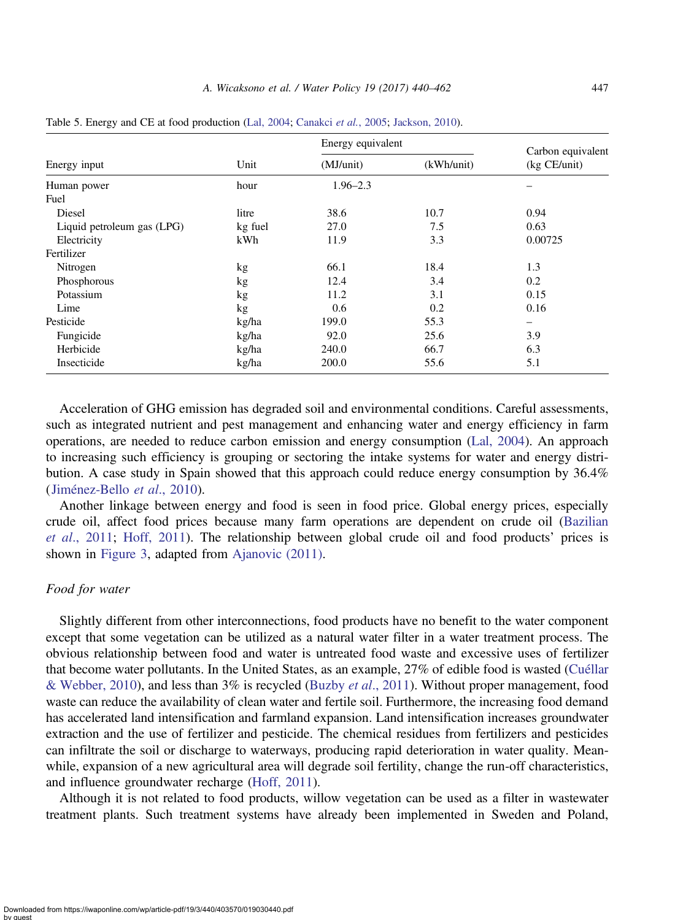|                            |         | Energy equivalent | Carbon equivalent |                              |  |
|----------------------------|---------|-------------------|-------------------|------------------------------|--|
| Energy input               | Unit    | (MJ/unit)         | (kWh/unit)        | (kg CE/unit)                 |  |
| Human power                | hour    | $1.96 - 2.3$      |                   |                              |  |
| Fuel                       |         |                   |                   |                              |  |
| Diesel                     | litre   | 38.6              | 10.7              | 0.94                         |  |
| Liquid petroleum gas (LPG) | kg fuel | 27.0              | 7.5               | 0.63                         |  |
| Electricity                | kWh     | 11.9              | 3.3               | 0.00725                      |  |
| Fertilizer                 |         |                   |                   |                              |  |
| Nitrogen                   | kg      | 66.1              | 18.4              | 1.3                          |  |
| Phosphorous                | kg      | 12.4              | 3.4               | 0.2                          |  |
| Potassium                  | kg      | 11.2              | 3.1               | 0.15                         |  |
| Lime                       | kg      | 0.6               | 0.2               | 0.16                         |  |
| Pesticide                  | kg/ha   | 199.0             | 55.3              | $\qquad \qquad \blacksquare$ |  |
| Fungicide                  | kg/ha   | 92.0              | 25.6              | 3.9                          |  |
| Herbicide                  | kg/ha   | 240.0             | 66.7              | 6.3                          |  |
| Insecticide                | kg/ha   | 200.0             | 55.6              | 5.1                          |  |

<span id="page-7-0"></span>Table 5. Energy and CE at food production [\(Lal, 2004](#page-21-0); [Canakci](#page-20-0) et al., 2005; [Jackson, 2010](#page-21-0)).

Acceleration of GHG emission has degraded soil and environmental conditions. Careful assessments, such as integrated nutrient and pest management and enhancing water and energy efficiency in farm operations, are needed to reduce carbon emission and energy consumption [\(Lal, 2004](#page-21-0)). An approach to increasing such efficiency is grouping or sectoring the intake systems for water and energy distribution. A case study in Spain showed that this approach could reduce energy consumption by 36.4% ([Jiménez-Bello](#page-21-0) et al., 2010).

Another linkage between energy and food is seen in food price. Global energy prices, especially crude oil, affect food prices because many farm operations are dependent on crude oil ([Bazilian](#page-19-0) et al[., 2011](#page-19-0); [Hoff, 2011\)](#page-20-0). The relationship between global crude oil and food products' prices is shown in [Figure 3,](#page-8-0) adapted from [Ajanovic \(2011\)](#page-19-0).

#### Food for water

Slightly different from other interconnections, food products have no benefit to the water component except that some vegetation can be utilized as a natural water filter in a water treatment process. The obvious relationship between food and water is untreated food waste and excessive uses of fertilizer that become water pollutants. In the United States, as an example, 27% of edible food is wasted ([Cuéllar](#page-20-0) [& Webber, 2010](#page-20-0)), and less than  $3\%$  is recycled (Buzby *et al.*, 2011). Without proper management, food waste can reduce the availability of clean water and fertile soil. Furthermore, the increasing food demand has accelerated land intensification and farmland expansion. Land intensification increases groundwater extraction and the use of fertilizer and pesticide. The chemical residues from fertilizers and pesticides can infiltrate the soil or discharge to waterways, producing rapid deterioration in water quality. Meanwhile, expansion of a new agricultural area will degrade soil fertility, change the run-off characteristics, and influence groundwater recharge [\(Hoff, 2011](#page-20-0)).

Although it is not related to food products, willow vegetation can be used as a filter in wastewater treatment plants. Such treatment systems have already been implemented in Sweden and Poland,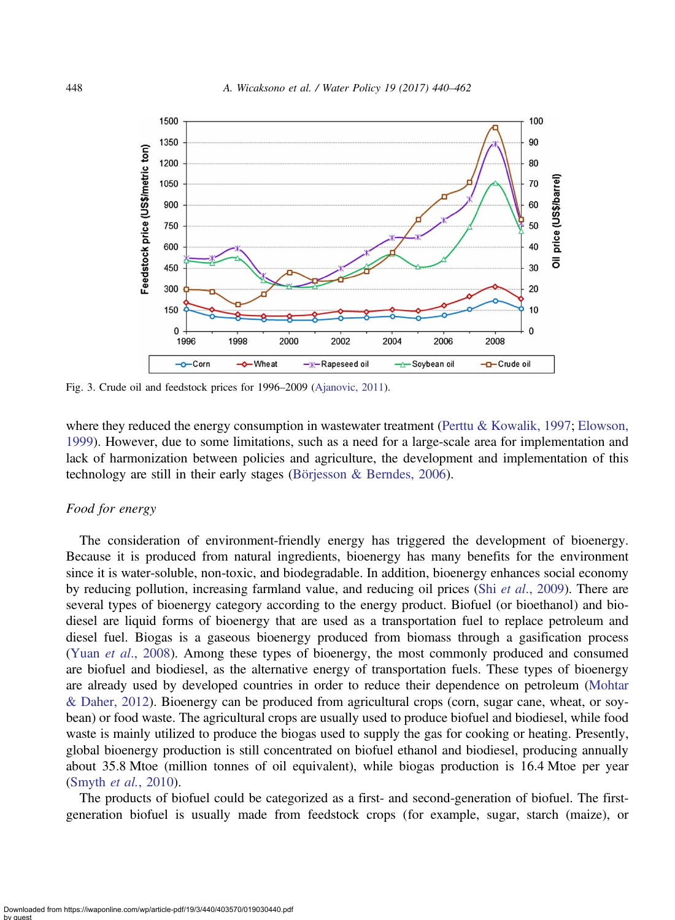<span id="page-8-0"></span>

Fig. 3. Crude oil and feedstock prices for 1996–2009 [\(Ajanovic, 2011\)](#page-19-0).

where they reduced the energy consumption in wastewater treatment ([Perttu & Kowalik, 1997;](#page-21-0) [Elowson,](#page-20-0) [1999](#page-20-0)). However, due to some limitations, such as a need for a large-scale area for implementation and lack of harmonization between policies and agriculture, the development and implementation of this technology are still in their early stages [\(Börjesson & Berndes, 2006\)](#page-20-0).

## Food for energy

The consideration of environment-friendly energy has triggered the development of bioenergy. Because it is produced from natural ingredients, bioenergy has many benefits for the environment since it is water-soluble, non-toxic, and biodegradable. In addition, bioenergy enhances social economy by reducing pollution, increasing farmland value, and reducing oil prices (Shi et al[., 2009](#page-21-0)). There are several types of bioenergy category according to the energy product. Biofuel (or bioethanol) and biodiesel are liquid forms of bioenergy that are used as a transportation fuel to replace petroleum and diesel fuel. Biogas is a gaseous bioenergy produced from biomass through a gasification process (Yuan et al[., 2008](#page-22-0)). Among these types of bioenergy, the most commonly produced and consumed are biofuel and biodiesel, as the alternative energy of transportation fuels. These types of bioenergy are already used by developed countries in order to reduce their dependence on petroleum [\(Mohtar](#page-21-0) [& Daher, 2012](#page-21-0)). Bioenergy can be produced from agricultural crops (corn, sugar cane, wheat, or soybean) or food waste. The agricultural crops are usually used to produce biofuel and biodiesel, while food waste is mainly utilized to produce the biogas used to supply the gas for cooking or heating. Presently, global bioenergy production is still concentrated on biofuel ethanol and biodiesel, producing annually about 35.8 Mtoe (million tonnes of oil equivalent), while biogas production is 16.4 Mtoe per year ([Smyth](#page-21-0) et al., 2010).

The products of biofuel could be categorized as a first- and second-generation of biofuel. The firstgeneration biofuel is usually made from feedstock crops (for example, sugar, starch (maize), or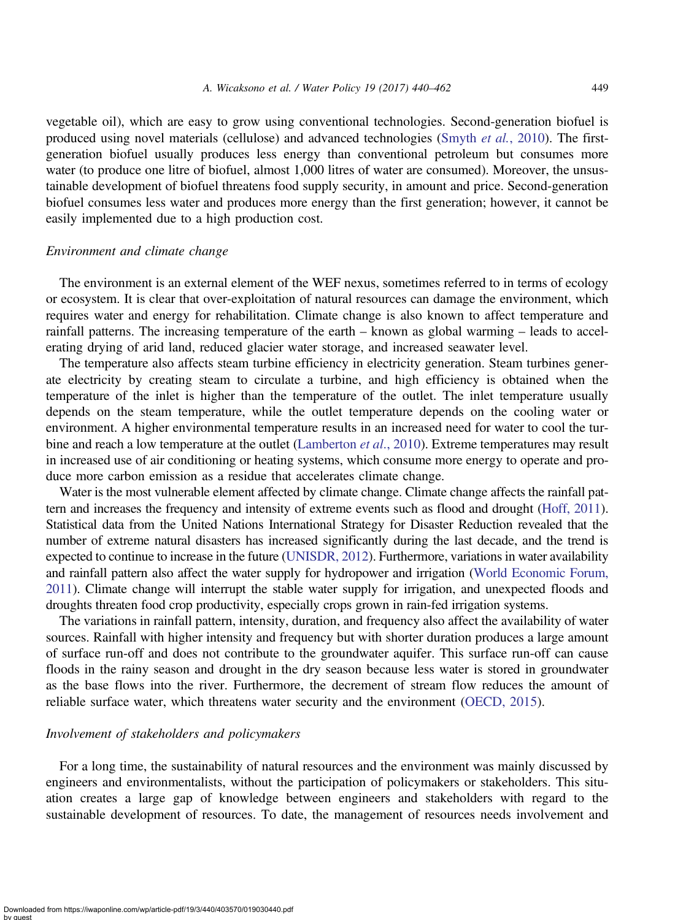vegetable oil), which are easy to grow using conventional technologies. Second-generation biofuel is produced using novel materials (cellulose) and advanced technologies (Smyth et al.[, 2010\)](#page-21-0). The firstgeneration biofuel usually produces less energy than conventional petroleum but consumes more water (to produce one litre of biofuel, almost 1,000 litres of water are consumed). Moreover, the unsustainable development of biofuel threatens food supply security, in amount and price. Second-generation biofuel consumes less water and produces more energy than the first generation; however, it cannot be easily implemented due to a high production cost.

#### Environment and climate change

The environment is an external element of the WEF nexus, sometimes referred to in terms of ecology or ecosystem. It is clear that over-exploitation of natural resources can damage the environment, which requires water and energy for rehabilitation. Climate change is also known to affect temperature and rainfall patterns. The increasing temperature of the earth – known as global warming – leads to accelerating drying of arid land, reduced glacier water storage, and increased seawater level.

The temperature also affects steam turbine efficiency in electricity generation. Steam turbines generate electricity by creating steam to circulate a turbine, and high efficiency is obtained when the temperature of the inlet is higher than the temperature of the outlet. The inlet temperature usually depends on the steam temperature, while the outlet temperature depends on the cooling water or environment. A higher environmental temperature results in an increased need for water to cool the tur-bine and reach a low temperature at the outlet [\(Lamberton](#page-21-0) *et al.*, 2010). Extreme temperatures may result in increased use of air conditioning or heating systems, which consume more energy to operate and produce more carbon emission as a residue that accelerates climate change.

Water is the most vulnerable element affected by climate change. Climate change affects the rainfall pattern and increases the frequency and intensity of extreme events such as flood and drought [\(Hoff, 2011\)](#page-20-0). Statistical data from the United Nations International Strategy for Disaster Reduction revealed that the number of extreme natural disasters has increased significantly during the last decade, and the trend is expected to continue to increase in the future ([UNISDR, 2012](#page-21-0)). Furthermore, variations in water availability and rainfall pattern also affect the water supply for hydropower and irrigation [\(World Economic Forum,](#page-22-0) [2011\)](#page-22-0). Climate change will interrupt the stable water supply for irrigation, and unexpected floods and droughts threaten food crop productivity, especially crops grown in rain-fed irrigation systems.

The variations in rainfall pattern, intensity, duration, and frequency also affect the availability of water sources. Rainfall with higher intensity and frequency but with shorter duration produces a large amount of surface run-off and does not contribute to the groundwater aquifer. This surface run-off can cause floods in the rainy season and drought in the dry season because less water is stored in groundwater as the base flows into the river. Furthermore, the decrement of stream flow reduces the amount of reliable surface water, which threatens water security and the environment [\(OECD, 2015](#page-21-0)).

## Involvement of stakeholders and policymakers

For a long time, the sustainability of natural resources and the environment was mainly discussed by engineers and environmentalists, without the participation of policymakers or stakeholders. This situation creates a large gap of knowledge between engineers and stakeholders with regard to the sustainable development of resources. To date, the management of resources needs involvement and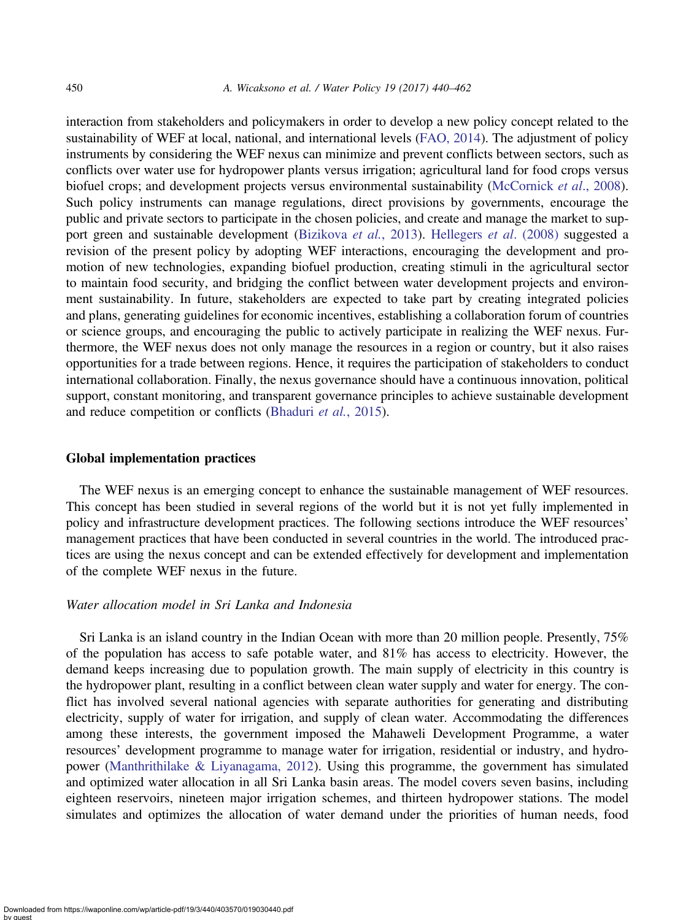interaction from stakeholders and policymakers in order to develop a new policy concept related to the sustainability of WEF at local, national, and international levels ([FAO, 2014\)](#page-20-0). The adjustment of policy instruments by considering the WEF nexus can minimize and prevent conflicts between sectors, such as conflicts over water use for hydropower plants versus irrigation; agricultural land for food crops versus biofuel crops; and development projects versus environmental sustainability [\(McCornick](#page-21-0) et al., 2008). Such policy instruments can manage regulations, direct provisions by governments, encourage the public and private sectors to participate in the chosen policies, and create and manage the market to sup-port green and sustainable development ([Bizikova](#page-19-0) et al., 2013). [Hellegers](#page-20-0) et al. (2008) suggested a revision of the present policy by adopting WEF interactions, encouraging the development and promotion of new technologies, expanding biofuel production, creating stimuli in the agricultural sector to maintain food security, and bridging the conflict between water development projects and environment sustainability. In future, stakeholders are expected to take part by creating integrated policies and plans, generating guidelines for economic incentives, establishing a collaboration forum of countries or science groups, and encouraging the public to actively participate in realizing the WEF nexus. Furthermore, the WEF nexus does not only manage the resources in a region or country, but it also raises opportunities for a trade between regions. Hence, it requires the participation of stakeholders to conduct international collaboration. Finally, the nexus governance should have a continuous innovation, political support, constant monitoring, and transparent governance principles to achieve sustainable development and reduce competition or conflicts [\(Bhaduri](#page-19-0) et al., 2015).

#### Global implementation practices

The WEF nexus is an emerging concept to enhance the sustainable management of WEF resources. This concept has been studied in several regions of the world but it is not yet fully implemented in policy and infrastructure development practices. The following sections introduce the WEF resources' management practices that have been conducted in several countries in the world. The introduced practices are using the nexus concept and can be extended effectively for development and implementation of the complete WEF nexus in the future.

## Water allocation model in Sri Lanka and Indonesia

Sri Lanka is an island country in the Indian Ocean with more than 20 million people. Presently, 75% of the population has access to safe potable water, and 81% has access to electricity. However, the demand keeps increasing due to population growth. The main supply of electricity in this country is the hydropower plant, resulting in a conflict between clean water supply and water for energy. The conflict has involved several national agencies with separate authorities for generating and distributing electricity, supply of water for irrigation, and supply of clean water. Accommodating the differences among these interests, the government imposed the Mahaweli Development Programme, a water resources' development programme to manage water for irrigation, residential or industry, and hydropower [\(Manthrithilake & Liyanagama, 2012](#page-21-0)). Using this programme, the government has simulated and optimized water allocation in all Sri Lanka basin areas. The model covers seven basins, including eighteen reservoirs, nineteen major irrigation schemes, and thirteen hydropower stations. The model simulates and optimizes the allocation of water demand under the priorities of human needs, food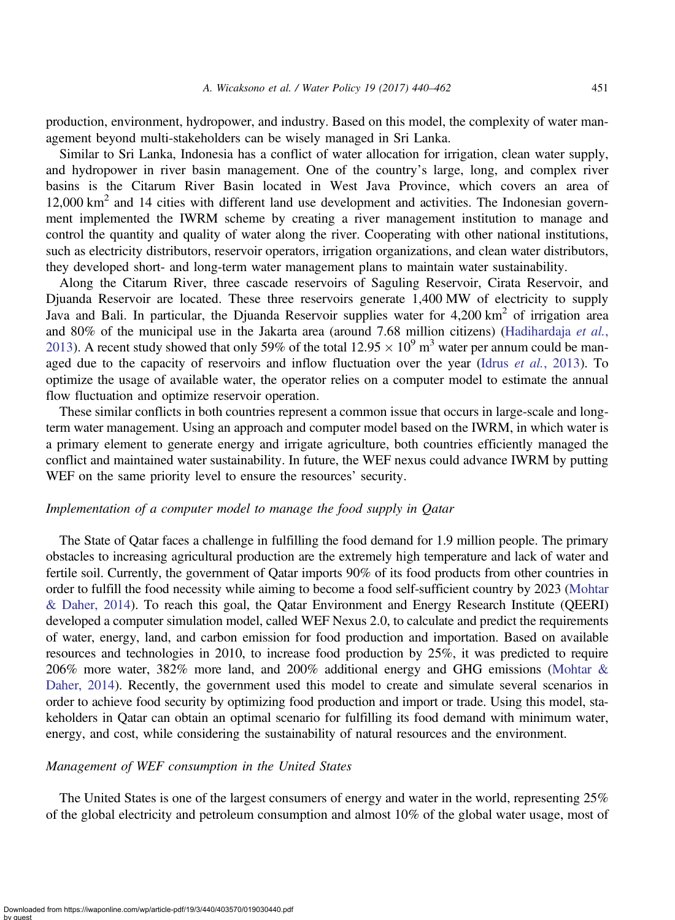production, environment, hydropower, and industry. Based on this model, the complexity of water management beyond multi-stakeholders can be wisely managed in Sri Lanka.

Similar to Sri Lanka, Indonesia has a conflict of water allocation for irrigation, clean water supply, and hydropower in river basin management. One of the country's large, long, and complex river basins is the Citarum River Basin located in West Java Province, which covers an area of 12,000 km2 and 14 cities with different land use development and activities. The Indonesian government implemented the IWRM scheme by creating a river management institution to manage and control the quantity and quality of water along the river. Cooperating with other national institutions, such as electricity distributors, reservoir operators, irrigation organizations, and clean water distributors, they developed short- and long-term water management plans to maintain water sustainability.

Along the Citarum River, three cascade reservoirs of Saguling Reservoir, Cirata Reservoir, and Djuanda Reservoir are located. These three reservoirs generate 1,400 MW of electricity to supply Java and Bali. In particular, the Djuanda Reservoir supplies water for 4,200 km<sup>2</sup> of irrigation area and 80% of the municipal use in the Jakarta area (around 7.68 million citizens) ([Hadihardaja](#page-20-0) et al., [2013](#page-20-0)). A recent study showed that only 59% of the total  $12.95 \times 10^9$  m<sup>3</sup> water per annum could be man-aged due to the capacity of reservoirs and inflow fluctuation over the year (Idrus et al.[, 2013](#page-20-0)). To optimize the usage of available water, the operator relies on a computer model to estimate the annual flow fluctuation and optimize reservoir operation.

These similar conflicts in both countries represent a common issue that occurs in large-scale and longterm water management. Using an approach and computer model based on the IWRM, in which water is a primary element to generate energy and irrigate agriculture, both countries efficiently managed the conflict and maintained water sustainability. In future, the WEF nexus could advance IWRM by putting WEF on the same priority level to ensure the resources' security.

## Implementation of a computer model to manage the food supply in Qatar

The State of Qatar faces a challenge in fulfilling the food demand for 1.9 million people. The primary obstacles to increasing agricultural production are the extremely high temperature and lack of water and fertile soil. Currently, the government of Qatar imports 90% of its food products from other countries in order to fulfill the food necessity while aiming to become a food self-sufficient country by 2023 [\(Mohtar](#page-21-0) [& Daher, 2014](#page-21-0)). To reach this goal, the Qatar Environment and Energy Research Institute (QEERI) developed a computer simulation model, called WEF Nexus 2.0, to calculate and predict the requirements of water, energy, land, and carbon emission for food production and importation. Based on available resources and technologies in 2010, to increase food production by 25%, it was predicted to require 206% more water, 382% more land, and 200% additional energy and GHG emissions ([Mohtar &](#page-21-0) [Daher, 2014](#page-21-0)). Recently, the government used this model to create and simulate several scenarios in order to achieve food security by optimizing food production and import or trade. Using this model, stakeholders in Qatar can obtain an optimal scenario for fulfilling its food demand with minimum water, energy, and cost, while considering the sustainability of natural resources and the environment.

#### Management of WEF consumption in the United States

The United States is one of the largest consumers of energy and water in the world, representing 25% of the global electricity and petroleum consumption and almost 10% of the global water usage, most of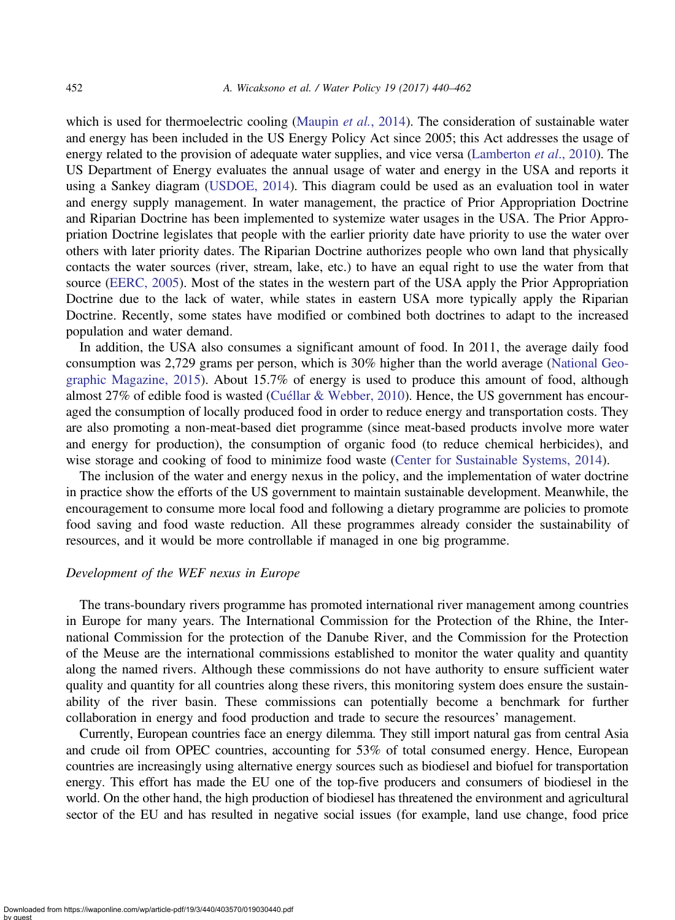which is used for thermoelectric cooling [\(Maupin](#page-21-0) *et al.*, 2014). The consideration of sustainable water and energy has been included in the US Energy Policy Act since 2005; this Act addresses the usage of energy related to the provision of adequate water supplies, and vice versa ([Lamberton](#page-21-0) *et al.*, 2010). The US Department of Energy evaluates the annual usage of water and energy in the USA and reports it using a Sankey diagram ([USDOE, 2014\)](#page-21-0). This diagram could be used as an evaluation tool in water and energy supply management. In water management, the practice of Prior Appropriation Doctrine and Riparian Doctrine has been implemented to systemize water usages in the USA. The Prior Appropriation Doctrine legislates that people with the earlier priority date have priority to use the water over others with later priority dates. The Riparian Doctrine authorizes people who own land that physically contacts the water sources (river, stream, lake, etc.) to have an equal right to use the water from that source [\(EERC, 2005\)](#page-20-0). Most of the states in the western part of the USA apply the Prior Appropriation Doctrine due to the lack of water, while states in eastern USA more typically apply the Riparian Doctrine. Recently, some states have modified or combined both doctrines to adapt to the increased population and water demand.

In addition, the USA also consumes a significant amount of food. In 2011, the average daily food consumption was 2,729 grams per person, which is 30% higher than the world average ([National Geo](#page-21-0)[graphic Magazine, 2015\)](#page-21-0). About 15.7% of energy is used to produce this amount of food, although almost 27% of edible food is wasted [\(Cuéllar & Webber, 2010](#page-20-0)). Hence, the US government has encouraged the consumption of locally produced food in order to reduce energy and transportation costs. They are also promoting a non-meat-based diet programme (since meat-based products involve more water and energy for production), the consumption of organic food (to reduce chemical herbicides), and wise storage and cooking of food to minimize food waste ([Center for Sustainable Systems, 2014\)](#page-20-0).

The inclusion of the water and energy nexus in the policy, and the implementation of water doctrine in practice show the efforts of the US government to maintain sustainable development. Meanwhile, the encouragement to consume more local food and following a dietary programme are policies to promote food saving and food waste reduction. All these programmes already consider the sustainability of resources, and it would be more controllable if managed in one big programme.

## Development of the WEF nexus in Europe

The trans-boundary rivers programme has promoted international river management among countries in Europe for many years. The International Commission for the Protection of the Rhine, the International Commission for the protection of the Danube River, and the Commission for the Protection of the Meuse are the international commissions established to monitor the water quality and quantity along the named rivers. Although these commissions do not have authority to ensure sufficient water quality and quantity for all countries along these rivers, this monitoring system does ensure the sustainability of the river basin. These commissions can potentially become a benchmark for further collaboration in energy and food production and trade to secure the resources' management.

Currently, European countries face an energy dilemma. They still import natural gas from central Asia and crude oil from OPEC countries, accounting for 53% of total consumed energy. Hence, European countries are increasingly using alternative energy sources such as biodiesel and biofuel for transportation energy. This effort has made the EU one of the top-five producers and consumers of biodiesel in the world. On the other hand, the high production of biodiesel has threatened the environment and agricultural sector of the EU and has resulted in negative social issues (for example, land use change, food price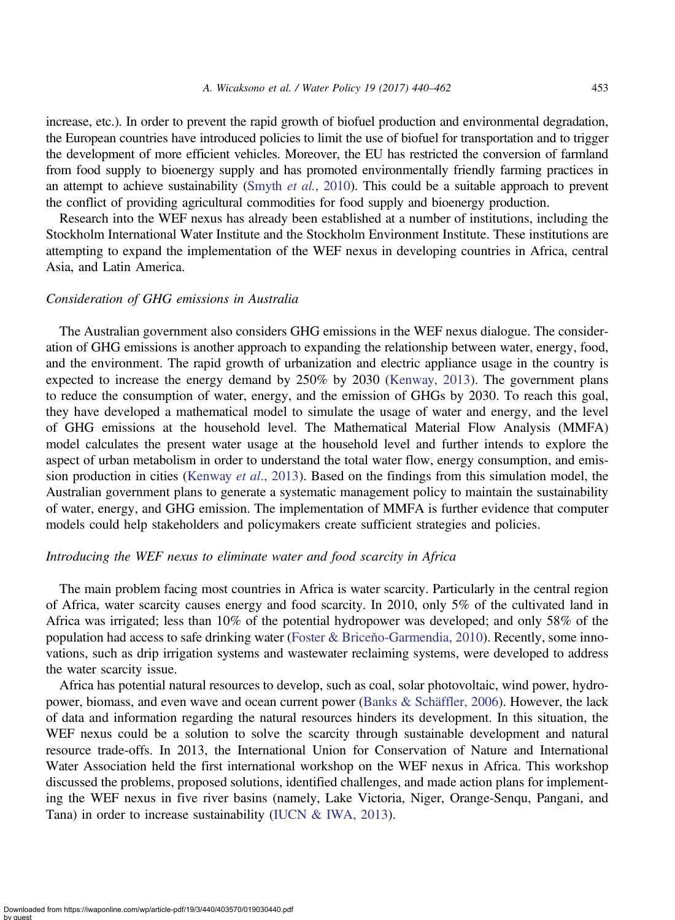increase, etc.). In order to prevent the rapid growth of biofuel production and environmental degradation, the European countries have introduced policies to limit the use of biofuel for transportation and to trigger the development of more efficient vehicles. Moreover, the EU has restricted the conversion of farmland from food supply to bioenergy supply and has promoted environmentally friendly farming practices in an attempt to achieve sustainability (Smyth *et al.*[, 2010\)](#page-21-0). This could be a suitable approach to prevent the conflict of providing agricultural commodities for food supply and bioenergy production.

Research into the WEF nexus has already been established at a number of institutions, including the Stockholm International Water Institute and the Stockholm Environment Institute. These institutions are attempting to expand the implementation of the WEF nexus in developing countries in Africa, central Asia, and Latin America.

#### Consideration of GHG emissions in Australia

The Australian government also considers GHG emissions in the WEF nexus dialogue. The consideration of GHG emissions is another approach to expanding the relationship between water, energy, food, and the environment. The rapid growth of urbanization and electric appliance usage in the country is expected to increase the energy demand by 250% by 2030 [\(Kenway, 2013\)](#page-21-0). The government plans to reduce the consumption of water, energy, and the emission of GHGs by 2030. To reach this goal, they have developed a mathematical model to simulate the usage of water and energy, and the level of GHG emissions at the household level. The Mathematical Material Flow Analysis (MMFA) model calculates the present water usage at the household level and further intends to explore the aspect of urban metabolism in order to understand the total water flow, energy consumption, and emission production in cities ([Kenway](#page-21-0) et al., 2013). Based on the findings from this simulation model, the Australian government plans to generate a systematic management policy to maintain the sustainability of water, energy, and GHG emission. The implementation of MMFA is further evidence that computer models could help stakeholders and policymakers create sufficient strategies and policies.

## Introducing the WEF nexus to eliminate water and food scarcity in Africa

The main problem facing most countries in Africa is water scarcity. Particularly in the central region of Africa, water scarcity causes energy and food scarcity. In 2010, only 5% of the cultivated land in Africa was irrigated; less than 10% of the potential hydropower was developed; and only 58% of the population had access to safe drinking water (Foster & Briceň[o-Garmendia, 2010\)](#page-20-0). Recently, some innovations, such as drip irrigation systems and wastewater reclaiming systems, were developed to address the water scarcity issue.

Africa has potential natural resources to develop, such as coal, solar photovoltaic, wind power, hydropower, biomass, and even wave and ocean current power [\(Banks & Schäffler, 2006](#page-19-0)). However, the lack of data and information regarding the natural resources hinders its development. In this situation, the WEF nexus could be a solution to solve the scarcity through sustainable development and natural resource trade-offs. In 2013, the International Union for Conservation of Nature and International Water Association held the first international workshop on the WEF nexus in Africa. This workshop discussed the problems, proposed solutions, identified challenges, and made action plans for implementing the WEF nexus in five river basins (namely, Lake Victoria, Niger, Orange-Senqu, Pangani, and Tana) in order to increase sustainability ([IUCN & IWA, 2013](#page-21-0)).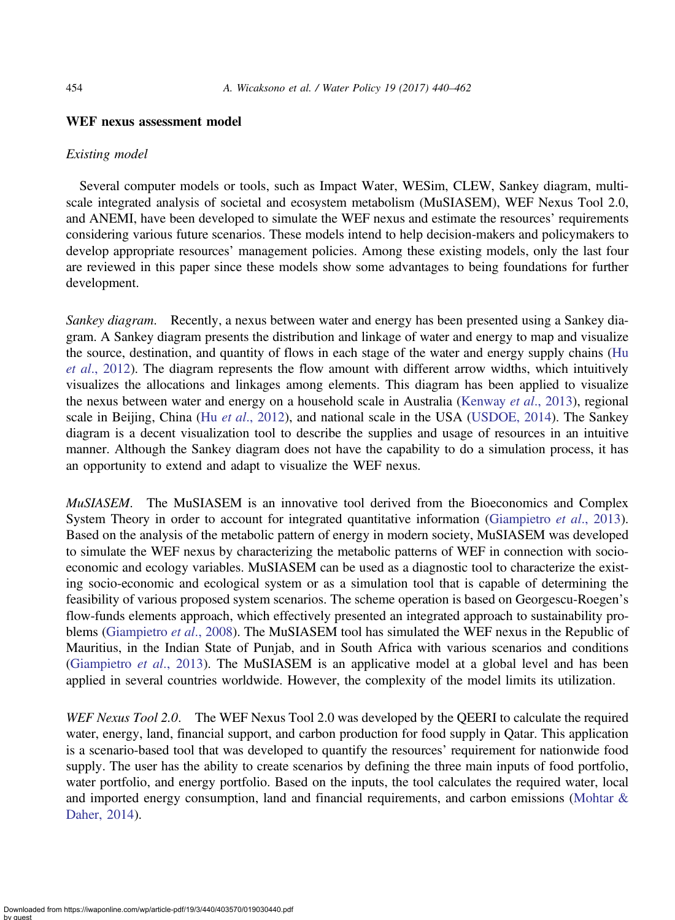#### WEF nexus assessment model

#### Existing model

Several computer models or tools, such as Impact Water, WESim, CLEW, Sankey diagram, multiscale integrated analysis of societal and ecosystem metabolism (MuSIASEM), WEF Nexus Tool 2.0, and ANEMI, have been developed to simulate the WEF nexus and estimate the resources' requirements considering various future scenarios. These models intend to help decision-makers and policymakers to develop appropriate resources' management policies. Among these existing models, only the last four are reviewed in this paper since these models show some advantages to being foundations for further development.

Sankey diagram. Recently, a nexus between water and energy has been presented using a Sankey diagram. A Sankey diagram presents the distribution and linkage of water and energy to map and visualize the source, destination, and quantity of flows in each stage of the water and energy supply chains ([Hu](#page-20-0) et al[., 2012](#page-20-0)). The diagram represents the flow amount with different arrow widths, which intuitively visualizes the allocations and linkages among elements. This diagram has been applied to visualize the nexus between water and energy on a household scale in Australia ([Kenway](#page-21-0) et al., 2013), regional scale in Beijing, China (Hu et al[., 2012\)](#page-20-0), and national scale in the USA [\(USDOE, 2014\)](#page-21-0). The Sankey diagram is a decent visualization tool to describe the supplies and usage of resources in an intuitive manner. Although the Sankey diagram does not have the capability to do a simulation process, it has an opportunity to extend and adapt to visualize the WEF nexus.

MuSIASEM. The MuSIASEM is an innovative tool derived from the Bioeconomics and Complex System Theory in order to account for integrated quantitative information ([Giampietro](#page-20-0) et al., 2013). Based on the analysis of the metabolic pattern of energy in modern society, MuSIASEM was developed to simulate the WEF nexus by characterizing the metabolic patterns of WEF in connection with socioeconomic and ecology variables. MuSIASEM can be used as a diagnostic tool to characterize the existing socio-economic and ecological system or as a simulation tool that is capable of determining the feasibility of various proposed system scenarios. The scheme operation is based on Georgescu-Roegen's flow-funds elements approach, which effectively presented an integrated approach to sustainability pro-blems ([Giampietro](#page-20-0) et al., 2008). The MuSIASEM tool has simulated the WEF nexus in the Republic of Mauritius, in the Indian State of Punjab, and in South Africa with various scenarios and conditions ([Giampietro](#page-20-0) et al., 2013). The MuSIASEM is an applicative model at a global level and has been applied in several countries worldwide. However, the complexity of the model limits its utilization.

WEF Nexus Tool 2.0. The WEF Nexus Tool 2.0 was developed by the QEERI to calculate the required water, energy, land, financial support, and carbon production for food supply in Qatar. This application is a scenario-based tool that was developed to quantify the resources' requirement for nationwide food supply. The user has the ability to create scenarios by defining the three main inputs of food portfolio, water portfolio, and energy portfolio. Based on the inputs, the tool calculates the required water, local and imported energy consumption, land and financial requirements, and carbon emissions ([Mohtar &](#page-21-0) [Daher, 2014](#page-21-0)).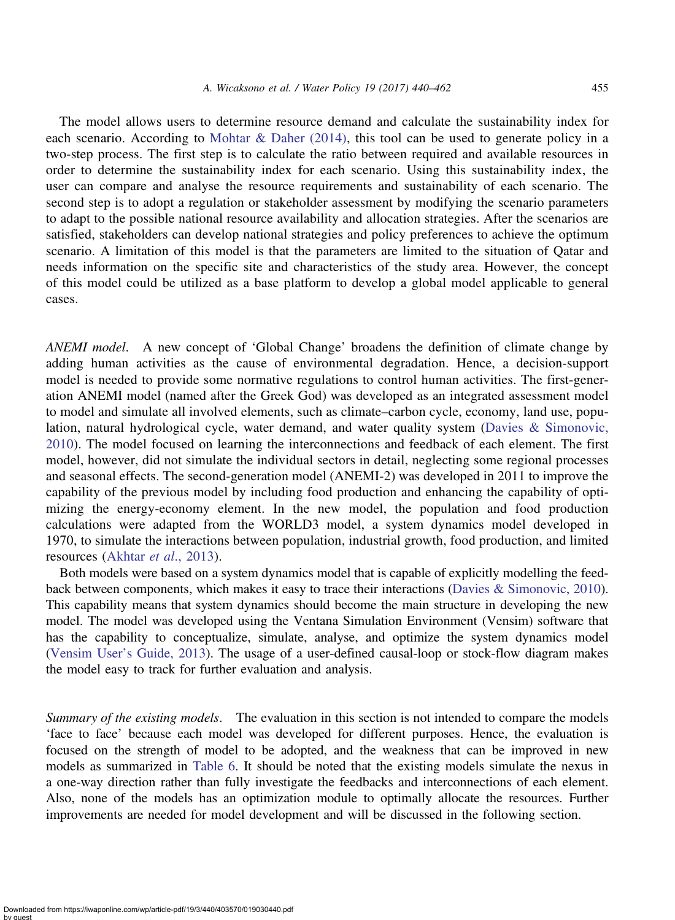The model allows users to determine resource demand and calculate the sustainability index for each scenario. According to [Mohtar & Daher \(2014\),](#page-21-0) this tool can be used to generate policy in a two-step process. The first step is to calculate the ratio between required and available resources in order to determine the sustainability index for each scenario. Using this sustainability index, the user can compare and analyse the resource requirements and sustainability of each scenario. The second step is to adopt a regulation or stakeholder assessment by modifying the scenario parameters to adapt to the possible national resource availability and allocation strategies. After the scenarios are satisfied, stakeholders can develop national strategies and policy preferences to achieve the optimum scenario. A limitation of this model is that the parameters are limited to the situation of Qatar and needs information on the specific site and characteristics of the study area. However, the concept of this model could be utilized as a base platform to develop a global model applicable to general cases.

ANEMI model. A new concept of 'Global Change' broadens the definition of climate change by adding human activities as the cause of environmental degradation. Hence, a decision-support model is needed to provide some normative regulations to control human activities. The first-generation ANEMI model (named after the Greek God) was developed as an integrated assessment model to model and simulate all involved elements, such as climate–carbon cycle, economy, land use, population, natural hydrological cycle, water demand, and water quality system ([Davies & Simonovic,](#page-20-0) [2010](#page-20-0)). The model focused on learning the interconnections and feedback of each element. The first model, however, did not simulate the individual sectors in detail, neglecting some regional processes and seasonal effects. The second-generation model (ANEMI-2) was developed in 2011 to improve the capability of the previous model by including food production and enhancing the capability of optimizing the energy-economy element. In the new model, the population and food production calculations were adapted from the WORLD3 model, a system dynamics model developed in 1970, to simulate the interactions between population, industrial growth, food production, and limited resources (Akhtar et al[., 2013\)](#page-19-0).

Both models were based on a system dynamics model that is capable of explicitly modelling the feedback between components, which makes it easy to trace their interactions [\(Davies & Simonovic, 2010\)](#page-20-0). This capability means that system dynamics should become the main structure in developing the new model. The model was developed using the Ventana Simulation Environment (Vensim) software that has the capability to conceptualize, simulate, analyse, and optimize the system dynamics model (Vensim User'[s Guide, 2013](#page-21-0)). The usage of a user-defined causal-loop or stock-flow diagram makes the model easy to track for further evaluation and analysis.

Summary of the existing models. The evaluation in this section is not intended to compare the models 'face to face' because each model was developed for different purposes. Hence, the evaluation is focused on the strength of model to be adopted, and the weakness that can be improved in new models as summarized in [Table 6.](#page-16-0) It should be noted that the existing models simulate the nexus in a one-way direction rather than fully investigate the feedbacks and interconnections of each element. Also, none of the models has an optimization module to optimally allocate the resources. Further improvements are needed for model development and will be discussed in the following section.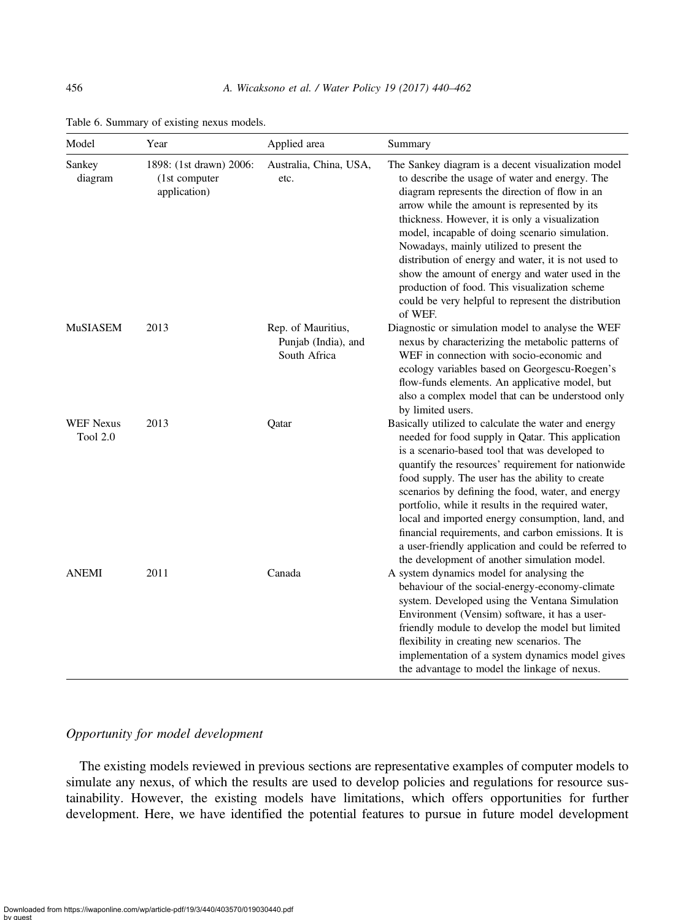| Model                               | Year                                                     | Applied area                                              | Summary                                                                                                                                                                                                                                                                                                                                                                                                                                                                                                                                                                                            |  |
|-------------------------------------|----------------------------------------------------------|-----------------------------------------------------------|----------------------------------------------------------------------------------------------------------------------------------------------------------------------------------------------------------------------------------------------------------------------------------------------------------------------------------------------------------------------------------------------------------------------------------------------------------------------------------------------------------------------------------------------------------------------------------------------------|--|
| Sankey<br>diagram                   | 1898: (1st drawn) 2006:<br>(1st computer<br>application) | Australia, China, USA,<br>etc.                            | The Sankey diagram is a decent visualization model<br>to describe the usage of water and energy. The<br>diagram represents the direction of flow in an<br>arrow while the amount is represented by its<br>thickness. However, it is only a visualization<br>model, incapable of doing scenario simulation.<br>Nowadays, mainly utilized to present the<br>distribution of energy and water, it is not used to<br>show the amount of energy and water used in the<br>production of food. This visualization scheme<br>could be very helpful to represent the distribution<br>of WEF.                |  |
| <b>MuSIASEM</b>                     | 2013                                                     | Rep. of Mauritius,<br>Punjab (India), and<br>South Africa | Diagnostic or simulation model to analyse the WEF<br>nexus by characterizing the metabolic patterns of<br>WEF in connection with socio-economic and<br>ecology variables based on Georgescu-Roegen's<br>flow-funds elements. An applicative model, but<br>also a complex model that can be understood only<br>by limited users.                                                                                                                                                                                                                                                                    |  |
| <b>WEF</b> Nexus<br><b>Tool 2.0</b> | 2013                                                     | Qatar                                                     | Basically utilized to calculate the water and energy<br>needed for food supply in Qatar. This application<br>is a scenario-based tool that was developed to<br>quantify the resources' requirement for nationwide<br>food supply. The user has the ability to create<br>scenarios by defining the food, water, and energy<br>portfolio, while it results in the required water,<br>local and imported energy consumption, land, and<br>financial requirements, and carbon emissions. It is<br>a user-friendly application and could be referred to<br>the development of another simulation model. |  |
| <b>ANEMI</b>                        | 2011                                                     | Canada                                                    | A system dynamics model for analysing the<br>behaviour of the social-energy-economy-climate<br>system. Developed using the Ventana Simulation<br>Environment (Vensim) software, it has a user-<br>friendly module to develop the model but limited<br>flexibility in creating new scenarios. The<br>implementation of a system dynamics model gives<br>the advantage to model the linkage of nexus.                                                                                                                                                                                                |  |

<span id="page-16-0"></span>Table 6. Summary of existing nexus models.

## Opportunity for model development

The existing models reviewed in previous sections are representative examples of computer models to simulate any nexus, of which the results are used to develop policies and regulations for resource sustainability. However, the existing models have limitations, which offers opportunities for further development. Here, we have identified the potential features to pursue in future model development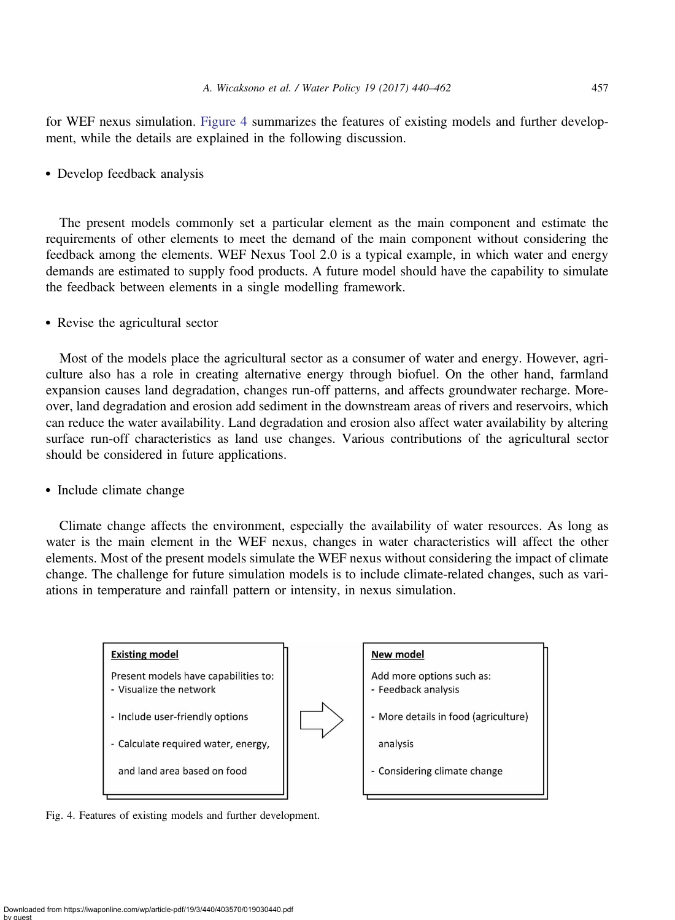for WEF nexus simulation. Figure 4 summarizes the features of existing models and further development, while the details are explained in the following discussion.

• Develop feedback analysis

The present models commonly set a particular element as the main component and estimate the requirements of other elements to meet the demand of the main component without considering the feedback among the elements. WEF Nexus Tool 2.0 is a typical example, in which water and energy demands are estimated to supply food products. A future model should have the capability to simulate the feedback between elements in a single modelling framework.

• Revise the agricultural sector

Most of the models place the agricultural sector as a consumer of water and energy. However, agriculture also has a role in creating alternative energy through biofuel. On the other hand, farmland expansion causes land degradation, changes run-off patterns, and affects groundwater recharge. Moreover, land degradation and erosion add sediment in the downstream areas of rivers and reservoirs, which can reduce the water availability. Land degradation and erosion also affect water availability by altering surface run-off characteristics as land use changes. Various contributions of the agricultural sector should be considered in future applications.

• Include climate change

Climate change affects the environment, especially the availability of water resources. As long as water is the main element in the WEF nexus, changes in water characteristics will affect the other elements. Most of the present models simulate the WEF nexus without considering the impact of climate change. The challenge for future simulation models is to include climate-related changes, such as variations in temperature and rainfall pattern or intensity, in nexus simulation.



Fig. 4. Features of existing models and further development.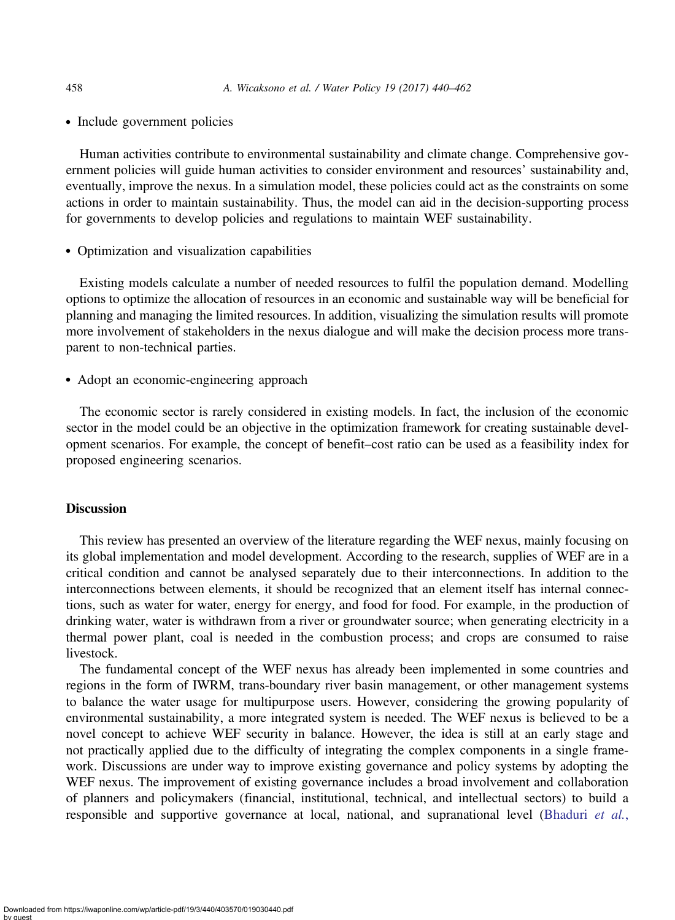• Include government policies

Human activities contribute to environmental sustainability and climate change. Comprehensive government policies will guide human activities to consider environment and resources' sustainability and, eventually, improve the nexus. In a simulation model, these policies could act as the constraints on some actions in order to maintain sustainability. Thus, the model can aid in the decision-supporting process for governments to develop policies and regulations to maintain WEF sustainability.

• Optimization and visualization capabilities

Existing models calculate a number of needed resources to fulfil the population demand. Modelling options to optimize the allocation of resources in an economic and sustainable way will be beneficial for planning and managing the limited resources. In addition, visualizing the simulation results will promote more involvement of stakeholders in the nexus dialogue and will make the decision process more transparent to non-technical parties.

• Adopt an economic-engineering approach

The economic sector is rarely considered in existing models. In fact, the inclusion of the economic sector in the model could be an objective in the optimization framework for creating sustainable development scenarios. For example, the concept of benefit–cost ratio can be used as a feasibility index for proposed engineering scenarios.

## **Discussion**

This review has presented an overview of the literature regarding the WEF nexus, mainly focusing on its global implementation and model development. According to the research, supplies of WEF are in a critical condition and cannot be analysed separately due to their interconnections. In addition to the interconnections between elements, it should be recognized that an element itself has internal connections, such as water for water, energy for energy, and food for food. For example, in the production of drinking water, water is withdrawn from a river or groundwater source; when generating electricity in a thermal power plant, coal is needed in the combustion process; and crops are consumed to raise livestock.

The fundamental concept of the WEF nexus has already been implemented in some countries and regions in the form of IWRM, trans-boundary river basin management, or other management systems to balance the water usage for multipurpose users. However, considering the growing popularity of environmental sustainability, a more integrated system is needed. The WEF nexus is believed to be a novel concept to achieve WEF security in balance. However, the idea is still at an early stage and not practically applied due to the difficulty of integrating the complex components in a single framework. Discussions are under way to improve existing governance and policy systems by adopting the WEF nexus. The improvement of existing governance includes a broad involvement and collaboration of planners and policymakers (financial, institutional, technical, and intellectual sectors) to build a responsible and supportive governance at local, national, and supranational level ([Bhaduri](#page-19-0) et al.,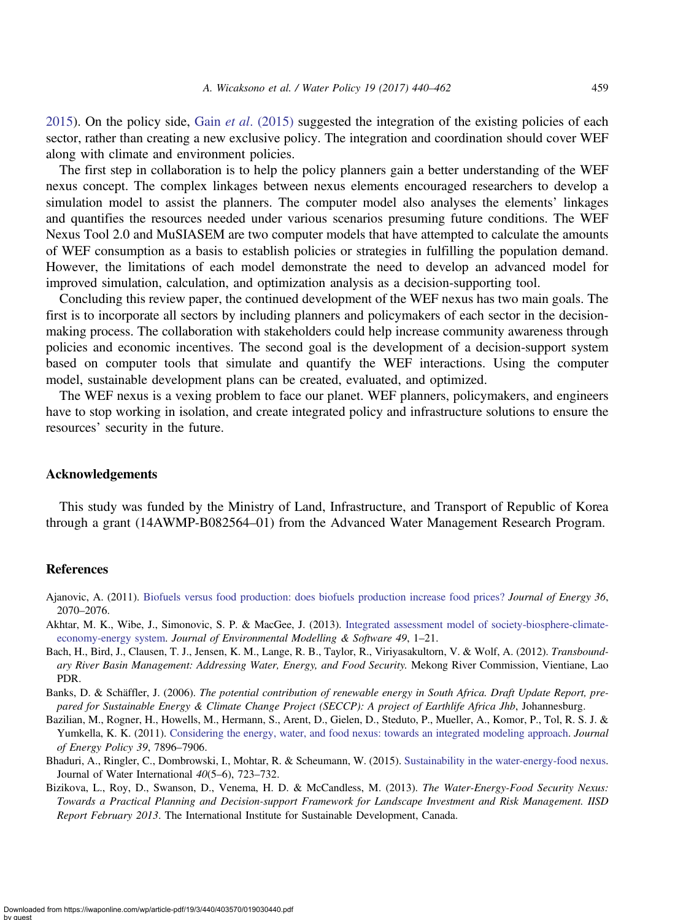<span id="page-19-0"></span>2015). On the policy side, Gain *et al.* (2015) suggested the integration of the existing policies of each sector, rather than creating a new exclusive policy. The integration and coordination should cover WEF along with climate and environment policies.

The first step in collaboration is to help the policy planners gain a better understanding of the WEF nexus concept. The complex linkages between nexus elements encouraged researchers to develop a simulation model to assist the planners. The computer model also analyses the elements' linkages and quantifies the resources needed under various scenarios presuming future conditions. The WEF Nexus Tool 2.0 and MuSIASEM are two computer models that have attempted to calculate the amounts of WEF consumption as a basis to establish policies or strategies in fulfilling the population demand. However, the limitations of each model demonstrate the need to develop an advanced model for improved simulation, calculation, and optimization analysis as a decision-supporting tool.

Concluding this review paper, the continued development of the WEF nexus has two main goals. The first is to incorporate all sectors by including planners and policymakers of each sector in the decisionmaking process. The collaboration with stakeholders could help increase community awareness through policies and economic incentives. The second goal is the development of a decision-support system based on computer tools that simulate and quantify the WEF interactions. Using the computer model, sustainable development plans can be created, evaluated, and optimized.

The WEF nexus is a vexing problem to face our planet. WEF planners, policymakers, and engineers have to stop working in isolation, and create integrated policy and infrastructure solutions to ensure the resources' security in the future.

#### Acknowledgements

This study was funded by the Ministry of Land, Infrastructure, and Transport of Republic of Korea through a grant (14AWMP-B082564–01) from the Advanced Water Management Research Program.

#### References

- Ajanovic, A. (2011). [Biofuels versus food production: does biofuels production increase food prices?](http://dx.doi.org/10.1016/j.energy.2010.05.019) Journal of Energy 36, 2070–2076.
- Akhtar, M. K., Wibe, J., Simonovic, S. P. & MacGee, J. (2013). [Integrated assessment model of society-biosphere-climate](http://dx.doi.org/10.1016/j.envsoft.2013.07.006)[economy-energy system](http://dx.doi.org/10.1016/j.envsoft.2013.07.006). Journal of Environmental Modelling & Software 49, 1-21.
- Bach, H., Bird, J., Clausen, T. J., Jensen, K. M., Lange, R. B., Taylor, R., Viriyasakultorn, V. & Wolf, A. (2012). Transboundary River Basin Management: Addressing Water, Energy, and Food Security. Mekong River Commission, Vientiane, Lao PDR.
- Banks, D. & Schäffler, J. (2006). The potential contribution of renewable energy in South Africa. Draft Update Report, prepared for Sustainable Energy & Climate Change Project (SECCP): A project of Earthlife Africa Jhb, Johannesburg.
- Bazilian, M., Rogner, H., Howells, M., Hermann, S., Arent, D., Gielen, D., Steduto, P., Mueller, A., Komor, P., Tol, R. S. J. & Yumkella, K. K. (2011). [Considering the energy, water, and food nexus: towards an integrated modeling approach](http://dx.doi.org/10.1016/j.enpol.2011.09.039). Journal of Energy Policy 39, 7896–7906.
- Bhaduri, A., Ringler, C., Dombrowski, I., Mohtar, R. & Scheumann, W. (2015). [Sustainability in the water-energy-food nexus.](http://dx.doi.org/10.1080/02508060.2015.1096110) Journal of Water International 40(5–6), 723–732.
- Bizikova, L., Roy, D., Swanson, D., Venema, H. D. & McCandless, M. (2013). The Water-Energy-Food Security Nexus: Towards a Practical Planning and Decision-support Framework for Landscape Investment and Risk Management. IISD Report February 2013. The International Institute for Sustainable Development, Canada.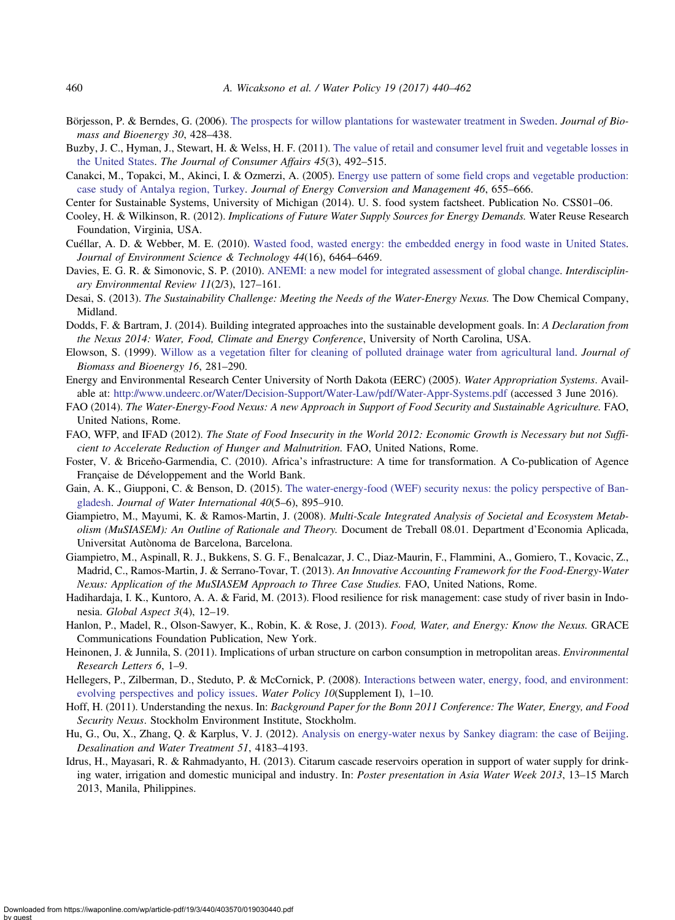- <span id="page-20-0"></span>Börjesson, P. & Berndes, G. (2006). [The prospects for willow plantations for wastewater treatment in Sweden.](http://dx.doi.org/10.1016/j.biombioe.2005.11.018) Journal of Biomass and Bioenergy 30, 428–438.
- Buzby, J. C., Hyman, J., Stewart, H. & Welss, H. F. (2011). [The value of retail and consumer level fruit and vegetable losses in](http://dx.doi.org/10.1111/j.1745-6606.2011.01214.x) [the United States](http://dx.doi.org/10.1111/j.1745-6606.2011.01214.x). The Journal of Consumer Affairs 45(3), 492–515.
- Canakci, M., Topakci, M., Akinci, I. & Ozmerzi, A. (2005). [Energy use pattern of some field crops and vegetable production:](http://dx.doi.org/10.1016/j.enconman.2004.04.008) [case study of Antalya region, Turkey.](http://dx.doi.org/10.1016/j.enconman.2004.04.008) Journal of Energy Conversion and Management 46, 655–666.
- Center for Sustainable Systems, University of Michigan (2014). U. S. food system factsheet. Publication No. CSS01–06.
- Cooley, H. & Wilkinson, R. (2012). Implications of Future Water Supply Sources for Energy Demands. Water Reuse Research Foundation, Virginia, USA.
- Cuéllar, A. D. & Webber, M. E. (2010). [Wasted food, wasted energy: the embedded energy in food waste in United States.](http://dx.doi.org/10.1021/es100310d) Journal of Environment Science & Technology 44(16), 6464–6469.
- Davies, E. G. R. & Simonovic, S. P. (2010). [ANEMI: a new model for integrated assessment of global change.](http://dx.doi.org/10.1504/IER.2010.037903) Interdisciplinary Environmental Review 11(2/3), 127–161.
- Desai, S. (2013). The Sustainability Challenge: Meeting the Needs of the Water-Energy Nexus. The Dow Chemical Company, Midland.
- Dodds, F. & Bartram, J. (2014). Building integrated approaches into the sustainable development goals. In: A Declaration from the Nexus 2014: Water, Food, Climate and Energy Conference, University of North Carolina, USA.
- Elowson, S. (1999). [Willow as a vegetation filter for cleaning of polluted drainage water from agricultural land.](http://dx.doi.org/10.1016/S0961-9534(98)00087-7) Journal of Biomass and Bioenergy 16, 281–290.
- Energy and Environmental Research Center University of North Dakota (EERC) (2005). Water Appropriation Systems. Available at: <http://www.undeerc.or/Water/Decision-Support/Water-Law/pdf/Water-Appr-Systems.pdf> (accessed 3 June 2016).
- FAO (2014). The Water-Energy-Food Nexus: A new Approach in Support of Food Security and Sustainable Agriculture. FAO, United Nations, Rome.
- FAO, WFP, and IFAD (2012). The State of Food Insecurity in the World 2012: Economic Growth is Necessary but not Sufficient to Accelerate Reduction of Hunger and Malnutrition. FAO, United Nations, Rome.
- Foster, V. & Briceňo-Garmendia, C. (2010). Africa's infrastructure: A time for transformation. A Co-publication of Agence Française de Développement and the World Bank.
- Gain, A. K., Giupponi, C. & Benson, D. (2015). [The water-energy-food \(WEF\) security nexus: the policy perspective of Ban](http://dx.doi.org/10.1080/02508060.2015.1087616)[gladesh.](http://dx.doi.org/10.1080/02508060.2015.1087616) Journal of Water International 40(5–6), 895–910.
- Giampietro, M., Mayumi, K. & Ramos-Martin, J. (2008). Multi-Scale Integrated Analysis of Societal and Ecosystem Metabolism (MuSIASEM): An Outline of Rationale and Theory. Document de Treball 08.01. Department d'Economia Aplicada, Universitat Autònoma de Barcelona, Barcelona.
- Giampietro, M., Aspinall, R. J., Bukkens, S. G. F., Benalcazar, J. C., Diaz-Maurin, F., Flammini, A., Gomiero, T., Kovacic, Z., Madrid, C., Ramos-Martin, J. & Serrano-Tovar, T. (2013). An Innovative Accounting Framework for the Food-Energy-Water Nexus: Application of the MuSIASEM Approach to Three Case Studies. FAO, United Nations, Rome.
- Hadihardaja, I. K., Kuntoro, A. A. & Farid, M. (2013). Flood resilience for risk management: case study of river basin in Indonesia. Global Aspect 3(4), 12–19.
- Hanlon, P., Madel, R., Olson-Sawyer, K., Robin, K. & Rose, J. (2013). Food, Water, and Energy: Know the Nexus. GRACE Communications Foundation Publication, New York.
- Heinonen, J. & Junnila, S. (2011). Implications of urban structure on carbon consumption in metropolitan areas. *Environmental* Research Letters 6, 1–9.
- Hellegers, P., Zilberman, D., Steduto, P. & McCornick, P. (2008). [Interactions between water, energy, food, and environment:](http://dx.doi.org/10.2166/wp.2008.048) [evolving perspectives and policy issues.](http://dx.doi.org/10.2166/wp.2008.048) Water Policy 10(Supplement I), 1-10.
- Hoff, H. (2011). Understanding the nexus. In: Background Paper for the Bonn 2011 Conference: The Water, Energy, and Food Security Nexus. Stockholm Environment Institute, Stockholm.
- Hu, G., Ou, X., Zhang, Q. & Karplus, V. J. (2012). [Analysis on energy-water nexus by Sankey diagram: the case of Beijing](http://dx.doi.org/10.1080/19443994.2013.768038). Desalination and Water Treatment 51, 4183–4193.
- Idrus, H., Mayasari, R. & Rahmadyanto, H. (2013). Citarum cascade reservoirs operation in support of water supply for drinking water, irrigation and domestic municipal and industry. In: Poster presentation in Asia Water Week 2013, 13–15 March 2013, Manila, Philippines.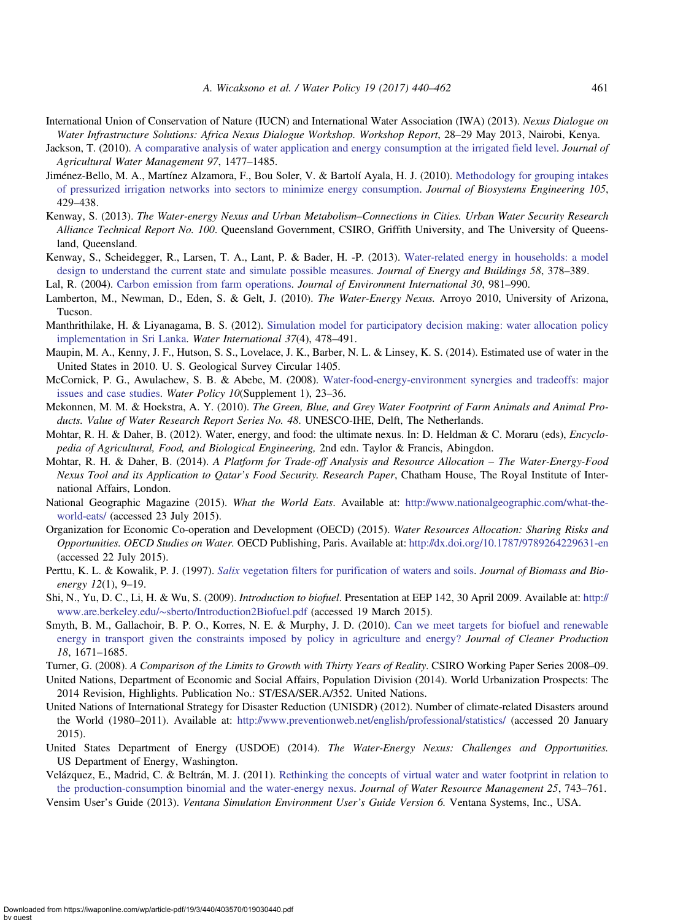- <span id="page-21-0"></span>International Union of Conservation of Nature (IUCN) and International Water Association (IWA) (2013). Nexus Dialogue on Water Infrastructure Solutions: Africa Nexus Dialogue Workshop. Workshop Report, 28–29 May 2013, Nairobi, Kenya.
- Jackson, T. (2010). [A comparative analysis of water application and energy consumption at the irrigated field level](http://dx.doi.org/10.1016/j.agwat.2010.04.013). *Journal of* Agricultural Water Management 97, 1477–1485.
- Jiménez-Bello, M. A., Martínez Alzamora, F., Bou Soler, V. & Bartolí Ayala, H. J. (2010). [Methodology for grouping intakes](http://dx.doi.org/10.1016/j.biosystemseng.2009.12.014) [of pressurized irrigation networks into sectors to minimize energy consumption](http://dx.doi.org/10.1016/j.biosystemseng.2009.12.014). Journal of Biosystems Engineering 105, 429–438.
- Kenway, S. (2013). The Water-energy Nexus and Urban Metabolism–Connections in Cities. Urban Water Security Research Alliance Technical Report No. 100. Queensland Government, CSIRO, Griffith University, and The University of Queensland, Queensland.
- Kenway, S., Scheidegger, R., Larsen, T. A., Lant, P. & Bader, H. -P. (2013). [Water-related energy in households: a model](http://dx.doi.org/10.1016/j.enbuild.2012.08.035) [design to understand the current state and simulate possible measures](http://dx.doi.org/10.1016/j.enbuild.2012.08.035). Journal of Energy and Buildings 58, 378–389.

Lal, R. (2004). [Carbon emission from farm operations](http://dx.doi.org/10.1016/j.envint.2004.03.005). Journal of Environment International 30, 981–990.

- Lamberton, M., Newman, D., Eden, S. & Gelt, J. (2010). The Water-Energy Nexus. Arroyo 2010, University of Arizona, Tucson.
- Manthrithilake, H. & Liyanagama, B. S. (2012). [Simulation model for participatory decision making: water allocation policy](http://dx.doi.org/10.1080/02508060.2012.708602) [implementation in Sri Lanka](http://dx.doi.org/10.1080/02508060.2012.708602). Water International 37(4), 478–491.
- Maupin, M. A., Kenny, J. F., Hutson, S. S., Lovelace, J. K., Barber, N. L. & Linsey, K. S. (2014). Estimated use of water in the United States in 2010. U. S. Geological Survey Circular 1405.
- McCornick, P. G., Awulachew, S. B. & Abebe, M. (2008). [Water-food-energy-environment synergies and tradeoffs: major](http://dx.doi.org/10.2166/wp.2008.050) [issues and case studies](http://dx.doi.org/10.2166/wp.2008.050). Water Policy 10(Supplement 1), 23–36.
- Mekonnen, M. M. & Hoekstra, A. Y. (2010). The Green, Blue, and Grey Water Footprint of Farm Animals and Animal Products. Value of Water Research Report Series No. 48. UNESCO-IHE, Delft, The Netherlands.
- Mohtar, R. H. & Daher, B. (2012). Water, energy, and food: the ultimate nexus. In: D. Heldman & C. Moraru (eds), *Encyclo*pedia of Agricultural, Food, and Biological Engineering, 2nd edn. Taylor & Francis, Abingdon.
- Mohtar, R. H. & Daher, B. (2014). A Platform for Trade-off Analysis and Resource Allocation The Water-Energy-Food Nexus Tool and its Application to Qatar's Food Security. Research Paper, Chatham House, The Royal Institute of International Affairs, London.
- National Geographic Magazine (2015). What the World Eats. Available at: [http://www.nationalgeographic.com/what-the](http://www.nationalgeographic.com/what-the-world-eats/)[world-eats/](http://www.nationalgeographic.com/what-the-world-eats/) (accessed 23 July 2015).
- Organization for Economic Co-operation and Development (OECD) (2015). Water Resources Allocation: Sharing Risks and Opportunities. OECD Studies on Water. OECD Publishing, Paris. Available at: <http://dx.doi.org/10.1787/9789264229631-en> (accessed 22 July 2015).
- Perttu, K. L. & Kowalik, P. J. (1997). Salix [vegetation filters for purification of waters and soils](http://dx.doi.org/10.1016/S0961-9534(96)00063-3). Journal of Biomass and Bioenergy 12(1), 9–19.
- Shi, N., Yu, D. C., Li, H. & Wu, S. (2009). *Introduction to biofuel*. Presentation at EEP 142, 30 April 2009. Available at: [http://](http://www.are.berkeley.edu/∼sberto/Introduction2Biofuel.pdf) www.are.berkeley.edu/∼[sberto/Introduction2Biofuel.pdf](http://www.are.berkeley.edu/∼sberto/Introduction2Biofuel.pdf) (accessed 19 March 2015).
- Smyth, B. M., Gallachoir, B. P. O., Korres, N. E. & Murphy, J. D. (2010). [Can we meet targets for biofuel and renewable](http://dx.doi.org/10.1016/j.jclepro.2010.06.027) [energy in transport given the constraints imposed by policy in agriculture and energy?](http://dx.doi.org/10.1016/j.jclepro.2010.06.027) Journal of Cleaner Production 18, 1671–1685.
- Turner, G. (2008). A Comparison of the Limits to Growth with Thirty Years of Reality. CSIRO Working Paper Series 2008–09.
- United Nations, Department of Economic and Social Affairs, Population Division (2014). World Urbanization Prospects: The 2014 Revision, Highlights. Publication No.: ST/ESA/SER.A/352. United Nations.
- United Nations of International Strategy for Disaster Reduction (UNISDR) (2012). Number of climate-related Disasters around the World (1980–2011). Available at: <http://www.preventionweb.net/english/professional/statistics/> (accessed 20 January 2015).
- United States Department of Energy (USDOE) (2014). The Water-Energy Nexus: Challenges and Opportunities. US Department of Energy, Washington.
- Velázquez, E., Madrid, C. & Beltrán, M. J. (2011). [Rethinking the concepts of virtual water and water footprint in relation to](http://dx.doi.org/10.1007/s11269-010-9724-7) [the production-consumption binomial and the water-energy nexus](http://dx.doi.org/10.1007/s11269-010-9724-7). Journal of Water Resource Management 25, 743–761.
- Vensim User's Guide (2013). Ventana Simulation Environment User's Guide Version 6. Ventana Systems, Inc., USA.